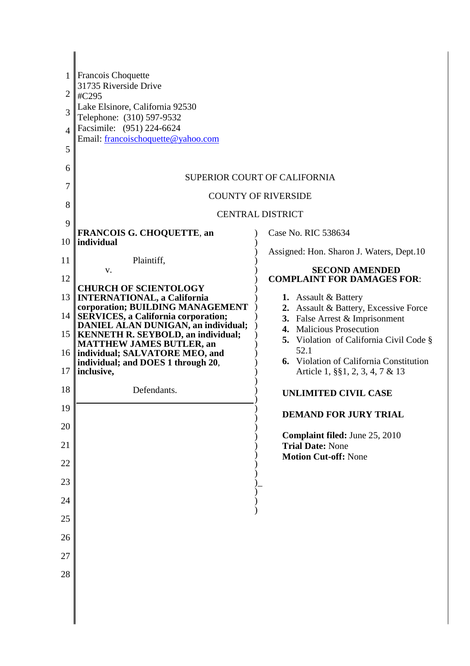| 1<br>2<br>3<br>Δ<br>5<br>6<br>7<br>8<br>9 | Francois Choquette<br>31735 Riverside Drive<br>#C295<br>Lake Elsinore, California 92530<br>Telephone: (310) 597-9532<br>Facsimile: (951) 224-6624<br>Email: francoischoquette@yahoo.com | <b>SUPERIOR COURT OF CALIFORNIA</b><br><b>COUNTY OF RIVERSIDE</b><br><b>CENTRAL DISTRICT</b>        |
|-------------------------------------------|-----------------------------------------------------------------------------------------------------------------------------------------------------------------------------------------|-----------------------------------------------------------------------------------------------------|
| 10                                        | <b>FRANCOIS G. CHOQUETTE, an</b><br>individual                                                                                                                                          | Case No. RIC 538634                                                                                 |
| 11                                        | Plaintiff,                                                                                                                                                                              | Assigned: Hon. Sharon J. Waters, Dept.10                                                            |
| 12                                        | V.                                                                                                                                                                                      | <b>SECOND AMENDED</b><br><b>COMPLAINT FOR DAMAGES FOR:</b>                                          |
| 13                                        | <b>CHURCH OF SCIENTOLOGY</b><br><b>INTERNATIONAL, a California</b><br>corporation; BUILDING MANAGEMENT                                                                                  | <b>1.</b> Assault & Battery                                                                         |
| 14 <sub>1</sub>                           | <b>SERVICES, a California corporation;</b><br>DANIEL ALAN DUNIGAN, an individual;                                                                                                       | 2. Assault & Battery, Excessive Force<br>3. False Arrest & Imprisonment<br>4. Malicious Prosecution |
| 15 <sup>1</sup>                           | <b>KENNETH R. SEYBOLD, an individual;</b><br><b>MATTHEW JAMES BUTLER, an</b>                                                                                                            | 5. Violation of California Civil Code §                                                             |
| 17                                        | 16    individual; SALVATORE MEO, and<br>individual; and DOES 1 through 20,<br>inclusive,                                                                                                | 52.1<br><b>6.</b> Violation of California Constitution<br>Article 1, §§1, 2, 3, 4, 7 & 13           |
| 18                                        | Defendants.                                                                                                                                                                             | <b>UNLIMITED CIVIL CASE</b>                                                                         |
| 19                                        |                                                                                                                                                                                         | <b>DEMAND FOR JURY TRIAL</b>                                                                        |
| 20                                        |                                                                                                                                                                                         | Complaint filed: June 25, 2010                                                                      |
| 21                                        |                                                                                                                                                                                         | <b>Trial Date: None</b><br><b>Motion Cut-off: None</b>                                              |
| 22                                        |                                                                                                                                                                                         |                                                                                                     |
| 23                                        |                                                                                                                                                                                         |                                                                                                     |
| 24                                        |                                                                                                                                                                                         |                                                                                                     |
| 25                                        |                                                                                                                                                                                         |                                                                                                     |
| 26<br>27                                  |                                                                                                                                                                                         |                                                                                                     |
| 28                                        |                                                                                                                                                                                         |                                                                                                     |
|                                           |                                                                                                                                                                                         |                                                                                                     |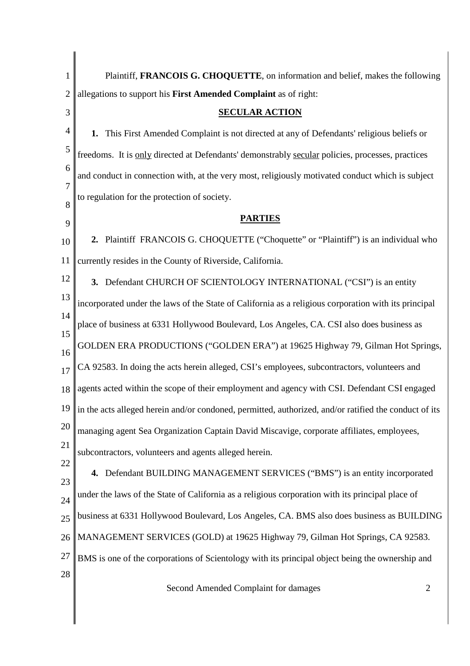| 1              | Plaintiff, FRANCOIS G. CHOQUETTE, on information and belief, makes the following                      |
|----------------|-------------------------------------------------------------------------------------------------------|
| $\overline{2}$ | allegations to support his First Amended Complaint as of right:                                       |
| 3              | <b>SECULAR ACTION</b>                                                                                 |
| 4              | This First Amended Complaint is not directed at any of Defendants' religious beliefs or<br>1.         |
| 5              | freedoms. It is only directed at Defendants' demonstrably secular policies, processes, practices      |
| 6              | and conduct in connection with, at the very most, religiously motivated conduct which is subject      |
| 7<br>8         | to regulation for the protection of society.                                                          |
| 9              | <b>PARTIES</b>                                                                                        |
| 10             | 2. Plaintiff FRANCOIS G. CHOQUETTE ("Choquette" or "Plaintiff") is an individual who                  |
| 11             | currently resides in the County of Riverside, California.                                             |
| 12             | 3. Defendant CHURCH OF SCIENTOLOGY INTERNATIONAL ("CSI") is an entity                                 |
| 13             | incorporated under the laws of the State of California as a religious corporation with its principal  |
| 14<br>15       | place of business at 6331 Hollywood Boulevard, Los Angeles, CA. CSI also does business as             |
| 16             | GOLDEN ERA PRODUCTIONS ("GOLDEN ERA") at 19625 Highway 79, Gilman Hot Springs,                        |
| 17             | CA 92583. In doing the acts herein alleged, CSI's employees, subcontractors, volunteers and           |
| 18             | agents acted within the scope of their employment and agency with CSI. Defendant CSI engaged          |
| 19             | in the acts alleged herein and/or condoned, permitted, authorized, and/or ratified the conduct of its |
| 20             | managing agent Sea Organization Captain David Miscavige, corporate affiliates, employees,             |
| 21             | subcontractors, volunteers and agents alleged herein.                                                 |
| 22<br>23       | 4. Defendant BUILDING MANAGEMENT SERVICES ("BMS") is an entity incorporated                           |
| 24             | under the laws of the State of California as a religious corporation with its principal place of      |
| 25             | business at 6331 Hollywood Boulevard, Los Angeles, CA. BMS also does business as BUILDING             |
| 26             | MANAGEMENT SERVICES (GOLD) at 19625 Highway 79, Gilman Hot Springs, CA 92583.                         |
| 27             | BMS is one of the corporations of Scientology with its principal object being the ownership and       |
| 28             | Second Amended Complaint for damages<br>$\overline{2}$                                                |
|                |                                                                                                       |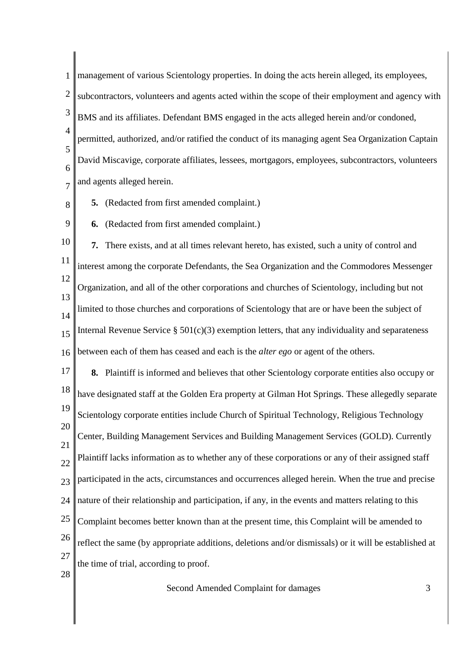1 2 3 4 5 6 7 management of various Scientology properties. In doing the acts herein alleged, its employees, subcontractors, volunteers and agents acted within the scope of their employment and agency with BMS and its affiliates. Defendant BMS engaged in the acts alleged herein and/or condoned, permitted, authorized, and/or ratified the conduct of its managing agent Sea Organization Captain David Miscavige, corporate affiliates, lessees, mortgagors, employees, subcontractors, volunteers and agents alleged herein.

8 **5.** (Redacted from first amended complaint.)

9 **6.** (Redacted from first amended complaint.)

10 11 12 13 14 15 16 **7.** There exists, and at all times relevant hereto, has existed, such a unity of control and interest among the corporate Defendants, the Sea Organization and the Commodores Messenger Organization, and all of the other corporations and churches of Scientology, including but not limited to those churches and corporations of Scientology that are or have been the subject of Internal Revenue Service  $\S 501(c)(3)$  exemption letters, that any individuality and separateness between each of them has ceased and each is the *alter ego* or agent of the others.

17 18 19 20 21 22  $23$ 24 25 26 27 28 **8.** Plaintiff is informed and believes that other Scientology corporate entities also occupy or have designated staff at the Golden Era property at Gilman Hot Springs. These allegedly separate Scientology corporate entities include Church of Spiritual Technology, Religious Technology Center, Building Management Services and Building Management Services (GOLD). Currently Plaintiff lacks information as to whether any of these corporations or any of their assigned staff participated in the acts, circumstances and occurrences alleged herein. When the true and precise nature of their relationship and participation, if any, in the events and matters relating to this Complaint becomes better known than at the present time, this Complaint will be amended to reflect the same (by appropriate additions, deletions and/or dismissals) or it will be established at the time of trial, according to proof.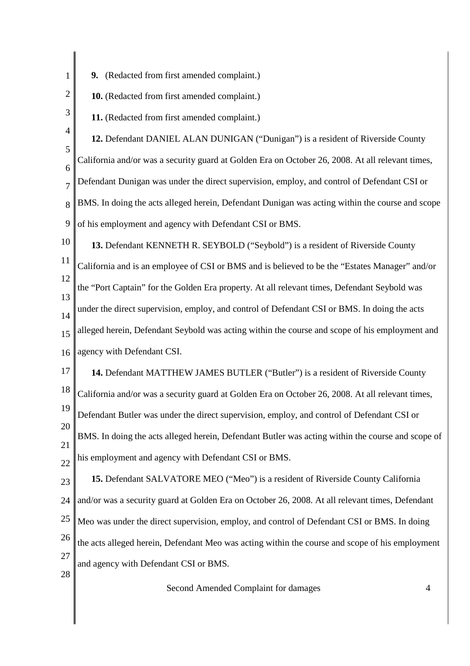- 1 **9.** (Redacted from first amended complaint.)
	- **10.** (Redacted from first amended complaint.)
	- **11.** (Redacted from first amended complaint.)
- 4 5 6 7 8 9 **12.** Defendant DANIEL ALAN DUNIGAN ("Dunigan") is a resident of Riverside County California and/or was a security guard at Golden Era on October 26, 2008. At all relevant times, Defendant Dunigan was under the direct supervision, employ, and control of Defendant CSI or BMS. In doing the acts alleged herein, Defendant Dunigan was acting within the course and scope of his employment and agency with Defendant CSI or BMS.
- 10 11 12 13 14 15 16 **13.** Defendant KENNETH R. SEYBOLD ("Seybold") is a resident of Riverside County California and is an employee of CSI or BMS and is believed to be the "Estates Manager" and/or the "Port Captain" for the Golden Era property. At all relevant times, Defendant Seybold was under the direct supervision, employ, and control of Defendant CSI or BMS. In doing the acts alleged herein, Defendant Seybold was acting within the course and scope of his employment and agency with Defendant CSI.
- 17 18 19 20 21 **14.** Defendant MATTHEW JAMES BUTLER ("Butler") is a resident of Riverside County California and/or was a security guard at Golden Era on October 26, 2008. At all relevant times, Defendant Butler was under the direct supervision, employ, and control of Defendant CSI or BMS. In doing the acts alleged herein, Defendant Butler was acting within the course and scope of
- 22 his employment and agency with Defendant CSI or BMS.
- 23 **15.** Defendant SALVATORE MEO ("Meo") is a resident of Riverside County California
- 24 and/or was a security guard at Golden Era on October 26, 2008. At all relevant times, Defendant
- 25 Meo was under the direct supervision, employ, and control of Defendant CSI or BMS. In doing
- 26 27 the acts alleged herein, Defendant Meo was acting within the course and scope of his employment and agency with Defendant CSI or BMS.
- 28

2

3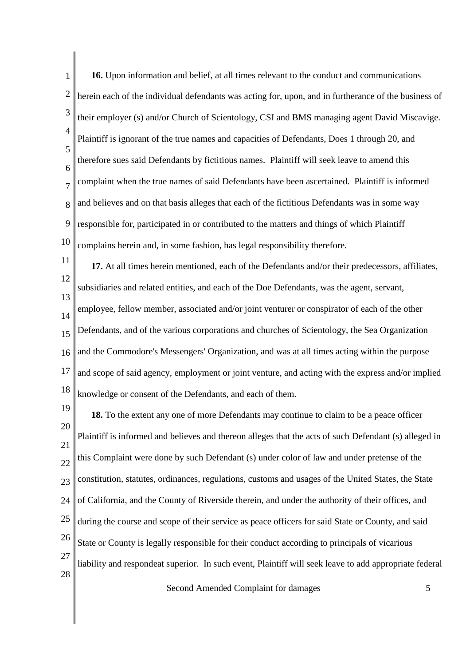| 1                       | 16. Upon information and belief, at all times relevant to the conduct and communications               |
|-------------------------|--------------------------------------------------------------------------------------------------------|
| $\overline{\mathbf{c}}$ | herein each of the individual defendants was acting for, upon, and in furtherance of the business of   |
| 3                       | their employer (s) and/or Church of Scientology, CSI and BMS managing agent David Miscavige.           |
| $\overline{4}$          | Plaintiff is ignorant of the true names and capacities of Defendants, Does 1 through 20, and           |
| 5<br>6                  | therefore sues said Defendants by fictitious names. Plaintiff will seek leave to amend this            |
| 7                       | complaint when the true names of said Defendants have been ascertained. Plaintiff is informed          |
| 8                       | and believes and on that basis alleges that each of the fictitious Defendants was in some way          |
| 9                       | responsible for, participated in or contributed to the matters and things of which Plaintiff           |
| 10                      | complains herein and, in some fashion, has legal responsibility therefore.                             |
| 11                      | 17. At all times herein mentioned, each of the Defendants and/or their predecessors, affiliates,       |
| 12                      | subsidiaries and related entities, and each of the Doe Defendants, was the agent, servant,             |
| 13<br>14                | employee, fellow member, associated and/or joint venturer or conspirator of each of the other          |
| 15                      | Defendants, and of the various corporations and churches of Scientology, the Sea Organization          |
| 16                      | and the Commodore's Messengers' Organization, and was at all times acting within the purpose           |
| 17                      | and scope of said agency, employment or joint venture, and acting with the express and/or implied      |
| 18                      | knowledge or consent of the Defendants, and each of them.                                              |
| 19                      | 18. To the extent any one of more Defendants may continue to claim to be a peace officer               |
| 20                      | Plaintiff is informed and believes and thereon alleges that the acts of such Defendant (s) alleged in  |
| 21<br>22                | this Complaint were done by such Defendant (s) under color of law and under pretense of the            |
| 23                      | constitution, statutes, ordinances, regulations, customs and usages of the United States, the State    |
| 24                      | of California, and the County of Riverside therein, and under the authority of their offices, and      |
| 25                      | during the course and scope of their service as peace officers for said State or County, and said      |
| 26                      | State or County is legally responsible for their conduct according to principals of vicarious          |
| 27                      | liability and respondeat superior. In such event, Plaintiff will seek leave to add appropriate federal |
| 28                      |                                                                                                        |
|                         | Second Amended Complaint for damages<br>5                                                              |
|                         |                                                                                                        |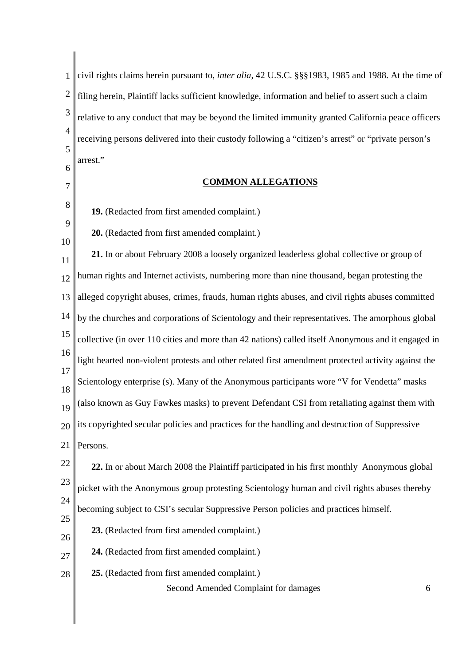1 2 3 4 5 6 civil rights claims herein pursuant to, *inter alia*, 42 U.S.C. §§§1983, 1985 and 1988. At the time of filing herein, Plaintiff lacks sufficient knowledge, information and belief to assert such a claim relative to any conduct that may be beyond the limited immunity granted California peace officers receiving persons delivered into their custody following a "citizen's arrest" or "private person's arrest."

### **COMMON ALLEGATIONS**

**19.** (Redacted from first amended complaint.)

7

8

9

10

**20.** (Redacted from first amended complaint.)

11 12 13 14 15 16 17 18 19 20 21 22 23 24 25 26 27 28 **21.** In or about February 2008 a loosely organized leaderless global collective or group of human rights and Internet activists, numbering more than nine thousand, began protesting the alleged copyright abuses, crimes, frauds, human rights abuses, and civil rights abuses committed by the churches and corporations of Scientology and their representatives. The amorphous global collective (in over 110 cities and more than 42 nations) called itself Anonymous and it engaged in light hearted non-violent protests and other related first amendment protected activity against the Scientology enterprise (s). Many of the Anonymous participants wore "V for Vendetta" masks (also known as Guy Fawkes masks) to prevent Defendant CSI from retaliating against them with its copyrighted secular policies and practices for the handling and destruction of Suppressive Persons. **22.** In or about March 2008 the Plaintiff participated in his first monthly Anonymous global picket with the Anonymous group protesting Scientology human and civil rights abuses thereby becoming subject to CSI's secular Suppressive Person policies and practices himself. **23.** (Redacted from first amended complaint.) **24.** (Redacted from first amended complaint.) **25.** (Redacted from first amended complaint.)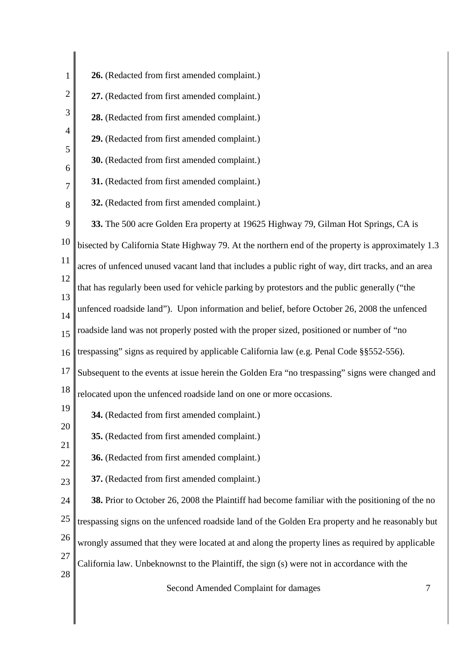| 1              | 26. (Redacted from first amended complaint.)                                                       |
|----------------|----------------------------------------------------------------------------------------------------|
| $\overline{2}$ | 27. (Redacted from first amended complaint.)                                                       |
| 3              | 28. (Redacted from first amended complaint.)                                                       |
| $\overline{4}$ | 29. (Redacted from first amended complaint.)                                                       |
| 5              | 30. (Redacted from first amended complaint.)                                                       |
| 6<br>7         | 31. (Redacted from first amended complaint.)                                                       |
| 8              | 32. (Redacted from first amended complaint.)                                                       |
| 9              | 33. The 500 acre Golden Era property at 19625 Highway 79, Gilman Hot Springs, CA is                |
| 10             | bisected by California State Highway 79. At the northern end of the property is approximately 1.3  |
| 11             | acres of unfenced unused vacant land that includes a public right of way, dirt tracks, and an area |
| 12             | that has regularly been used for vehicle parking by protestors and the public generally ("the      |
| 13             | unfenced roadside land"). Upon information and belief, before October 26, 2008 the unfenced        |
| 14<br>15       | roadside land was not properly posted with the proper sized, positioned or number of "no           |
| 16             | trespassing" signs as required by applicable California law (e.g. Penal Code §§552-556).           |
| 17             | Subsequent to the events at issue herein the Golden Era "no trespassing" signs were changed and    |
| 18             | relocated upon the unfenced roadside land on one or more occasions.                                |
| 19             | 34. (Redacted from first amended complaint.)                                                       |
| 20             | 35. (Redacted from first amended complaint.)                                                       |
| 21             |                                                                                                    |
| 22             | 36. (Redacted from first amended complaint.)                                                       |
| 23             | 37. (Redacted from first amended complaint.)                                                       |
| 24             | 38. Prior to October 26, 2008 the Plaintiff had become familiar with the positioning of the no     |
| 25             | trespassing signs on the unfenced roadside land of the Golden Era property and he reasonably but   |
| 26<br>27       | wrongly assumed that they were located at and along the property lines as required by applicable   |
| 28             | California law. Unbeknownst to the Plaintiff, the sign (s) were not in accordance with the         |
|                | Second Amended Complaint for damages<br>7                                                          |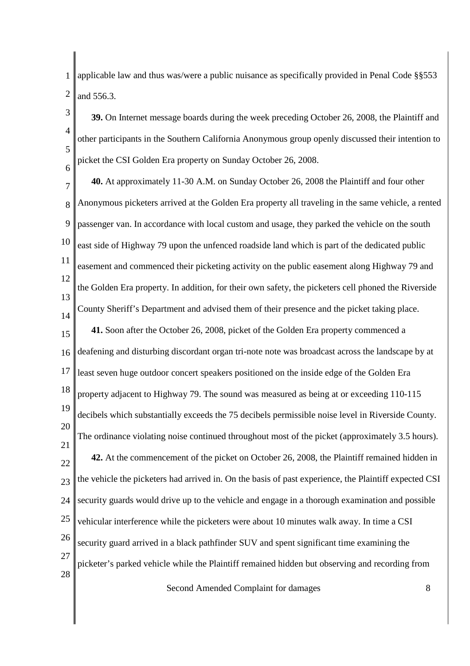1 2 applicable law and thus was/were a public nuisance as specifically provided in Penal Code §§553 and 556.3.

3 4 5 6 **39.** On Internet message boards during the week preceding October 26, 2008, the Plaintiff and other participants in the Southern California Anonymous group openly discussed their intention to picket the CSI Golden Era property on Sunday October 26, 2008.

7 8 9 10 11 12 13 14 15 16 17 18 19 20 21 22  $23$ 24 25 26 27 28 **40.** At approximately 11-30 A.M. on Sunday October 26, 2008 the Plaintiff and four other Anonymous picketers arrived at the Golden Era property all traveling in the same vehicle, a rented passenger van. In accordance with local custom and usage, they parked the vehicle on the south east side of Highway 79 upon the unfenced roadside land which is part of the dedicated public easement and commenced their picketing activity on the public easement along Highway 79 and the Golden Era property. In addition, for their own safety, the picketers cell phoned the Riverside County Sheriff's Department and advised them of their presence and the picket taking place. **41.** Soon after the October 26, 2008, picket of the Golden Era property commenced a deafening and disturbing discordant organ tri-note note was broadcast across the landscape by at least seven huge outdoor concert speakers positioned on the inside edge of the Golden Era property adjacent to Highway 79. The sound was measured as being at or exceeding 110-115 decibels which substantially exceeds the 75 decibels permissible noise level in Riverside County. The ordinance violating noise continued throughout most of the picket (approximately 3.5 hours). **42.** At the commencement of the picket on October 26, 2008, the Plaintiff remained hidden in the vehicle the picketers had arrived in. On the basis of past experience, the Plaintiff expected CSI security guards would drive up to the vehicle and engage in a thorough examination and possible vehicular interference while the picketers were about 10 minutes walk away. In time a CSI security guard arrived in a black pathfinder SUV and spent significant time examining the picketer's parked vehicle while the Plaintiff remained hidden but observing and recording from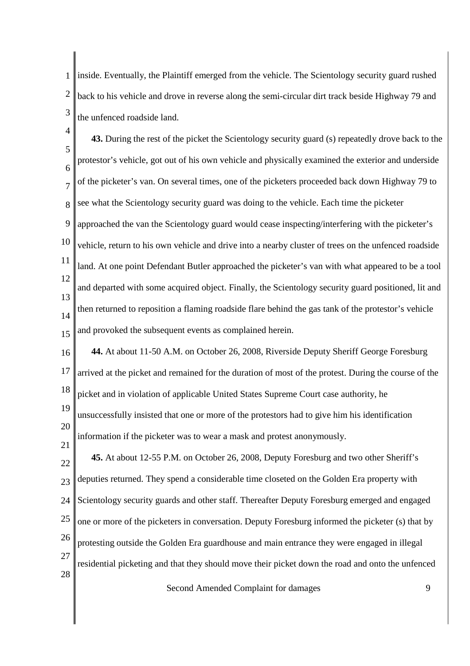1 2 3 inside. Eventually, the Plaintiff emerged from the vehicle. The Scientology security guard rushed back to his vehicle and drove in reverse along the semi-circular dirt track beside Highway 79 and the unfenced roadside land.

 $\Delta$ 5 6 7 8 9 10 11 12 13 14 15 **43.** During the rest of the picket the Scientology security guard (s) repeatedly drove back to the protestor's vehicle, got out of his own vehicle and physically examined the exterior and underside of the picketer's van. On several times, one of the picketers proceeded back down Highway 79 to see what the Scientology security guard was doing to the vehicle. Each time the picketer approached the van the Scientology guard would cease inspecting/interfering with the picketer's vehicle, return to his own vehicle and drive into a nearby cluster of trees on the unfenced roadside land. At one point Defendant Butler approached the picketer's van with what appeared to be a tool and departed with some acquired object. Finally, the Scientology security guard positioned, lit and then returned to reposition a flaming roadside flare behind the gas tank of the protestor's vehicle and provoked the subsequent events as complained herein.

16 17 18 19 **44.** At about 11-50 A.M. on October 26, 2008, Riverside Deputy Sheriff George Foresburg arrived at the picket and remained for the duration of most of the protest. During the course of the picket and in violation of applicable United States Supreme Court case authority, he

20 unsuccessfully insisted that one or more of the protestors had to give him his identification information if the picketer was to wear a mask and protest anonymously.

21

22  $23$ 24 25 26 27 28 **45.** At about 12-55 P.M. on October 26, 2008, Deputy Foresburg and two other Sheriff's deputies returned. They spend a considerable time closeted on the Golden Era property with Scientology security guards and other staff. Thereafter Deputy Foresburg emerged and engaged one or more of the picketers in conversation. Deputy Foresburg informed the picketer (s) that by protesting outside the Golden Era guardhouse and main entrance they were engaged in illegal residential picketing and that they should move their picket down the road and onto the unfenced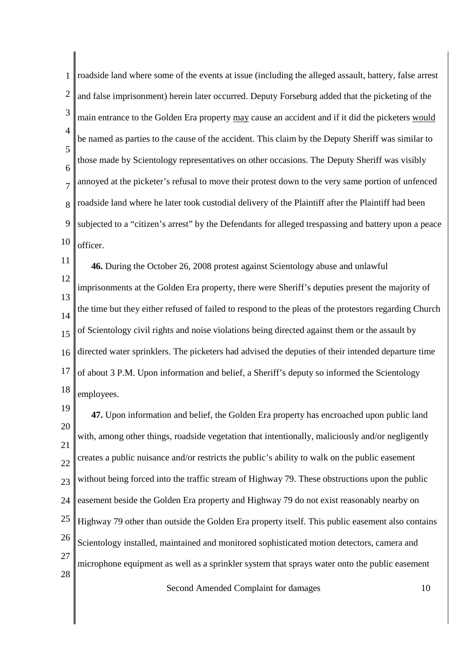1 2 3 4 5 6 7 8 9 10 roadside land where some of the events at issue (including the alleged assault, battery, false arrest and false imprisonment) herein later occurred. Deputy Forseburg added that the picketing of the main entrance to the Golden Era property may cause an accident and if it did the picketers would be named as parties to the cause of the accident. This claim by the Deputy Sheriff was similar to those made by Scientology representatives on other occasions. The Deputy Sheriff was visibly annoyed at the picketer's refusal to move their protest down to the very same portion of unfenced roadside land where he later took custodial delivery of the Plaintiff after the Plaintiff had been subjected to a "citizen's arrest" by the Defendants for alleged trespassing and battery upon a peace officer.

11 12 13 14 15 16 17 18 **46.** During the October 26, 2008 protest against Scientology abuse and unlawful imprisonments at the Golden Era property, there were Sheriff's deputies present the majority of the time but they either refused of failed to respond to the pleas of the protestors regarding Church of Scientology civil rights and noise violations being directed against them or the assault by directed water sprinklers. The picketers had advised the deputies of their intended departure time of about 3 P.M. Upon information and belief, a Sheriff's deputy so informed the Scientology employees.

19 20 21 22  $23$ 24 25 26 27 28 **47.** Upon information and belief, the Golden Era property has encroached upon public land with, among other things, roadside vegetation that intentionally, maliciously and/or negligently creates a public nuisance and/or restricts the public's ability to walk on the public easement without being forced into the traffic stream of Highway 79. These obstructions upon the public easement beside the Golden Era property and Highway 79 do not exist reasonably nearby on Highway 79 other than outside the Golden Era property itself. This public easement also contains Scientology installed, maintained and monitored sophisticated motion detectors, camera and microphone equipment as well as a sprinkler system that sprays water onto the public easement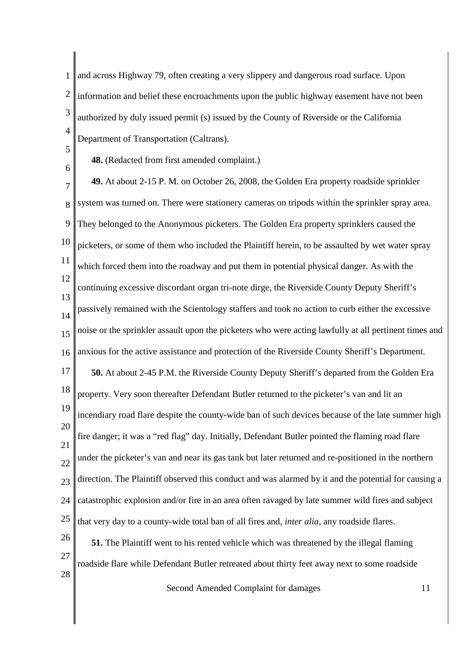1 2 3 4 and across Highway 79, often creating a very slippery and dangerous road surface. Upon information and belief these encroachments upon the public highway easement have not been authorized by duly issued permit (s) issued by the County of Riverside or the California Department of Transportation (Caltrans).

5 6

**48.** (Redacted from first amended complaint.)

7 8 9 10 11 12 13 14 15 16 17 18 19 20 21 22  $23$ 24 25 26 27 28 **49.** At about 2-15 P. M. on October 26, 2008, the Golden Era property roadside sprinkler system was turned on. There were stationery cameras on tripods within the sprinkler spray area. They belonged to the Anonymous picketers. The Golden Era property sprinklers caused the picketers, or some of them who included the Plaintiff herein, to be assaulted by wet water spray which forced them into the roadway and put them in potential physical danger. As with the continuing excessive discordant organ tri-note dirge, the Riverside County Deputy Sheriff's passively remained with the Scientology staffers and took no action to curb either the excessive noise or the sprinkler assault upon the picketers who were acting lawfully at all pertinent times and anxious for the active assistance and protection of the Riverside County Sheriff's Department. **50.** At about 2-45 P.M. the Riverside County Deputy Sheriff's departed from the Golden Era property. Very soon thereafter Defendant Butler returned to the picketer's van and lit an incendiary road flare despite the county-wide ban of such devices because of the late summer high fire danger; it was a "red flag" day. Initially, Defendant Butler pointed the flaming road flare under the picketer's van and near its gas tank but later returned and re-positioned in the northern direction. The Plaintiff observed this conduct and was alarmed by it and the potential for causing a catastrophic explosion and/or fire in an area often ravaged by late summer wild fires and subject that very day to a county-wide total ban of all fires and, *inter alia*, any roadside flares. **51.** The Plaintiff went to his rented vehicle which was threatened by the illegal flaming roadside flare while Defendant Butler retreated about thirty feet away next to some roadside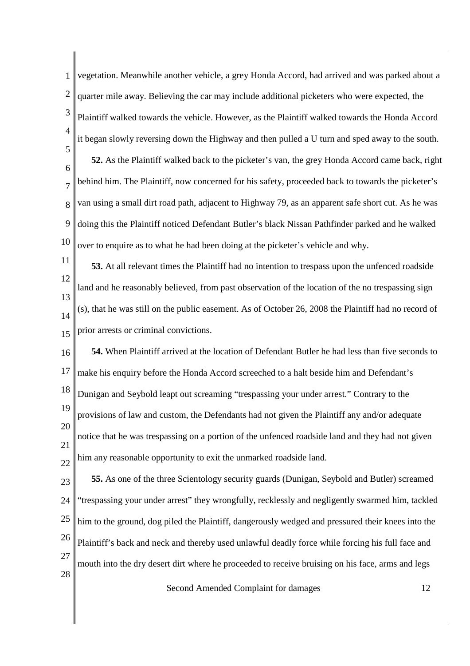1 2 3 4 5 6 7 8 9 10 vegetation. Meanwhile another vehicle, a grey Honda Accord, had arrived and was parked about a quarter mile away. Believing the car may include additional picketers who were expected, the Plaintiff walked towards the vehicle. However, as the Plaintiff walked towards the Honda Accord it began slowly reversing down the Highway and then pulled a U turn and sped away to the south. **52.** As the Plaintiff walked back to the picketer's van, the grey Honda Accord came back, right behind him. The Plaintiff, now concerned for his safety, proceeded back to towards the picketer's van using a small dirt road path, adjacent to Highway 79, as an apparent safe short cut. As he was doing this the Plaintiff noticed Defendant Butler's black Nissan Pathfinder parked and he walked over to enquire as to what he had been doing at the picketer's vehicle and why.

11 12 13 14 15 **53.** At all relevant times the Plaintiff had no intention to trespass upon the unfenced roadside land and he reasonably believed, from past observation of the location of the no trespassing sign (s), that he was still on the public easement. As of October 26, 2008 the Plaintiff had no record of prior arrests or criminal convictions.

16 17 18 19 20 21 22 **54.** When Plaintiff arrived at the location of Defendant Butler he had less than five seconds to make his enquiry before the Honda Accord screeched to a halt beside him and Defendant's Dunigan and Seybold leapt out screaming "trespassing your under arrest." Contrary to the provisions of law and custom, the Defendants had not given the Plaintiff any and/or adequate notice that he was trespassing on a portion of the unfenced roadside land and they had not given him any reasonable opportunity to exit the unmarked roadside land.

23 24 25 26 27 28 **55.** As one of the three Scientology security guards (Dunigan, Seybold and Butler) screamed "trespassing your under arrest" they wrongfully, recklessly and negligently swarmed him, tackled him to the ground, dog piled the Plaintiff, dangerously wedged and pressured their knees into the Plaintiff's back and neck and thereby used unlawful deadly force while forcing his full face and mouth into the dry desert dirt where he proceeded to receive bruising on his face, arms and legs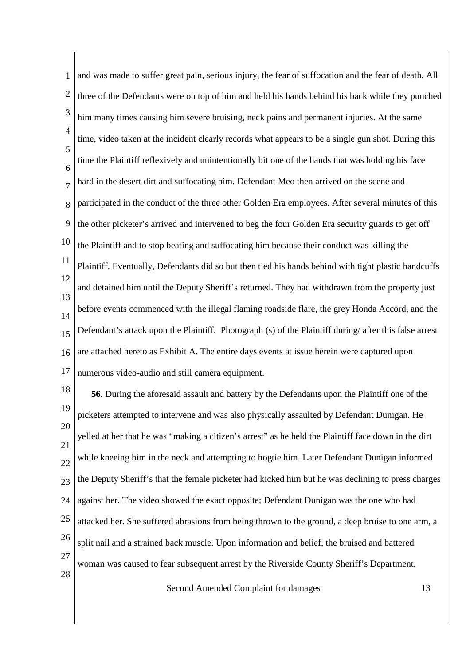1 2 3 4 5 6 7 8 9 10 11 12 13 14 15 16 17 and was made to suffer great pain, serious injury, the fear of suffocation and the fear of death. All three of the Defendants were on top of him and held his hands behind his back while they punched him many times causing him severe bruising, neck pains and permanent injuries. At the same time, video taken at the incident clearly records what appears to be a single gun shot. During this time the Plaintiff reflexively and unintentionally bit one of the hands that was holding his face hard in the desert dirt and suffocating him. Defendant Meo then arrived on the scene and participated in the conduct of the three other Golden Era employees. After several minutes of this the other picketer's arrived and intervened to beg the four Golden Era security guards to get off the Plaintiff and to stop beating and suffocating him because their conduct was killing the Plaintiff. Eventually, Defendants did so but then tied his hands behind with tight plastic handcuffs and detained him until the Deputy Sheriff's returned. They had withdrawn from the property just before events commenced with the illegal flaming roadside flare, the grey Honda Accord, and the Defendant's attack upon the Plaintiff. Photograph (s) of the Plaintiff during/ after this false arrest are attached hereto as Exhibit A. The entire days events at issue herein were captured upon numerous video-audio and still camera equipment.

18 19 20 21 22  $23$ 24 25 26 27 28 **56.** During the aforesaid assault and battery by the Defendants upon the Plaintiff one of the picketers attempted to intervene and was also physically assaulted by Defendant Dunigan. He yelled at her that he was "making a citizen's arrest" as he held the Plaintiff face down in the dirt while kneeing him in the neck and attempting to hogtie him. Later Defendant Dunigan informed the Deputy Sheriff's that the female picketer had kicked him but he was declining to press charges against her. The video showed the exact opposite; Defendant Dunigan was the one who had attacked her. She suffered abrasions from being thrown to the ground, a deep bruise to one arm, a split nail and a strained back muscle. Upon information and belief, the bruised and battered woman was caused to fear subsequent arrest by the Riverside County Sheriff's Department.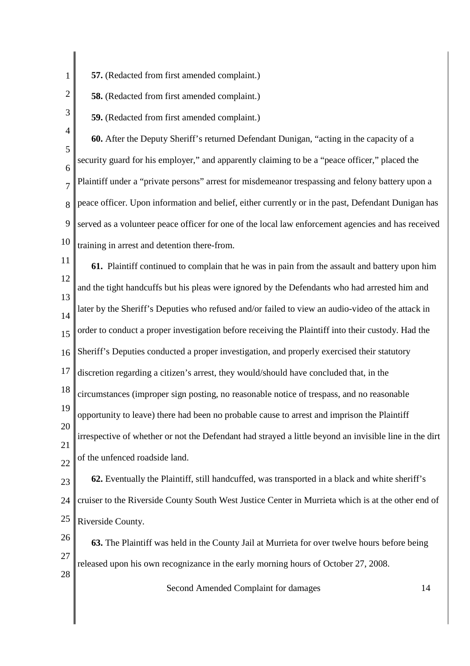**57.** (Redacted from first amended complaint.)

**58.** (Redacted from first amended complaint.)

**59.** (Redacted from first amended complaint.)

3

1

2

4 5 6 7 8 9 10 **60.** After the Deputy Sheriff's returned Defendant Dunigan, "acting in the capacity of a security guard for his employer," and apparently claiming to be a "peace officer," placed the Plaintiff under a "private persons" arrest for misdemeanor trespassing and felony battery upon a peace officer. Upon information and belief, either currently or in the past, Defendant Dunigan has served as a volunteer peace officer for one of the local law enforcement agencies and has received training in arrest and detention there-from.

11 12 13 14 15 16 17 18 19 20 21 22 **61.** Plaintiff continued to complain that he was in pain from the assault and battery upon him and the tight handcuffs but his pleas were ignored by the Defendants who had arrested him and later by the Sheriff's Deputies who refused and/or failed to view an audio-video of the attack in order to conduct a proper investigation before receiving the Plaintiff into their custody. Had the Sheriff's Deputies conducted a proper investigation, and properly exercised their statutory discretion regarding a citizen's arrest, they would/should have concluded that, in the circumstances (improper sign posting, no reasonable notice of trespass, and no reasonable opportunity to leave) there had been no probable cause to arrest and imprison the Plaintiff irrespective of whether or not the Defendant had strayed a little beyond an invisible line in the dirt of the unfenced roadside land.

23 24 25 **62.** Eventually the Plaintiff, still handcuffed, was transported in a black and white sheriff's cruiser to the Riverside County South West Justice Center in Murrieta which is at the other end of Riverside County.

26 27 28 **63.** The Plaintiff was held in the County Jail at Murrieta for over twelve hours before being released upon his own recognizance in the early morning hours of October 27, 2008.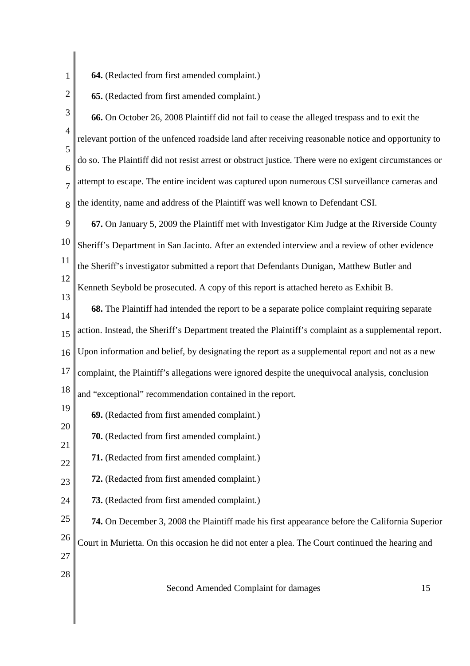**64.** (Redacted from first amended complaint.)

1

2

- **65.** (Redacted from first amended complaint.)
- 3 4 5 6 7 8 **66.** On October 26, 2008 Plaintiff did not fail to cease the alleged trespass and to exit the relevant portion of the unfenced roadside land after receiving reasonable notice and opportunity to do so. The Plaintiff did not resist arrest or obstruct justice. There were no exigent circumstances or attempt to escape. The entire incident was captured upon numerous CSI surveillance cameras and the identity, name and address of the Plaintiff was well known to Defendant CSI.
- 9 10 11 12 13 **67.** On January 5, 2009 the Plaintiff met with Investigator Kim Judge at the Riverside County Sheriff's Department in San Jacinto. After an extended interview and a review of other evidence the Sheriff's investigator submitted a report that Defendants Dunigan, Matthew Butler and Kenneth Seybold be prosecuted. A copy of this report is attached hereto as Exhibit B.
- 14 15 16 17 **68.** The Plaintiff had intended the report to be a separate police complaint requiring separate action. Instead, the Sheriff's Department treated the Plaintiff's complaint as a supplemental report. Upon information and belief, by designating the report as a supplemental report and not as a new complaint, the Plaintiff's allegations were ignored despite the unequivocal analysis, conclusion
- 18 and "exceptional" recommendation contained in the report.
- 19 **69.** (Redacted from first amended complaint.)
- 21 **70.** (Redacted from first amended complaint.)
- 22 **71.** (Redacted from first amended complaint.)
- 23 **72.** (Redacted from first amended complaint.)
- 24 **73.** (Redacted from first amended complaint.)
- 25 26 27 **74.** On December 3, 2008 the Plaintiff made his first appearance before the California Superior Court in Murietta. On this occasion he did not enter a plea. The Court continued the hearing and
- 28

20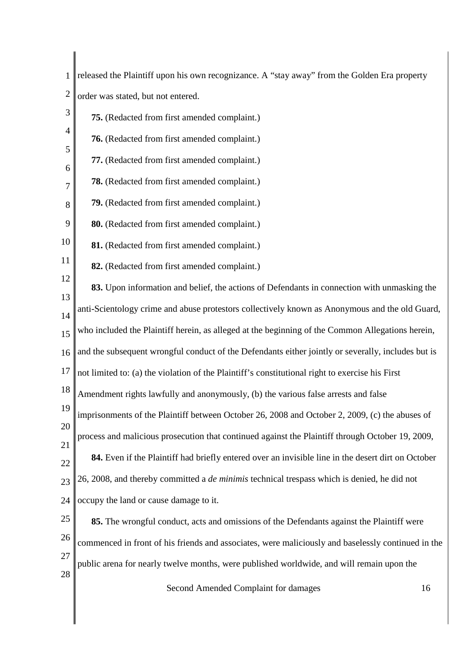1 || released the Plaintiff upon his own recognizance. A "stay away" from the Golden Era property 2 order was stated, but not entered.

| $\mathfrak{Z}$ | 75. (Redacted from first amended complaint.)                                                       |
|----------------|----------------------------------------------------------------------------------------------------|
| 4              | 76. (Redacted from first amended complaint.)                                                       |
| 5              | 77. (Redacted from first amended complaint.)                                                       |
| 6<br>7         | 78. (Redacted from first amended complaint.)                                                       |
| 8              | 79. (Redacted from first amended complaint.)                                                       |
| 9              | 80. (Redacted from first amended complaint.)                                                       |
| 10             | 81. (Redacted from first amended complaint.)                                                       |
| 11             | 82. (Redacted from first amended complaint.)                                                       |
| 12             | 83. Upon information and belief, the actions of Defendants in connection with unmasking the        |
| 13             | anti-Scientology crime and abuse protestors collectively known as Anonymous and the old Guard,     |
| 14<br>15       | who included the Plaintiff herein, as alleged at the beginning of the Common Allegations herein,   |
| 16             | and the subsequent wrongful conduct of the Defendants either jointly or severally, includes but is |
| 17             | not limited to: (a) the violation of the Plaintiff's constitutional right to exercise his First    |
| 18             | Amendment rights lawfully and anonymously, (b) the various false arrests and false                 |
| 19             | imprisonments of the Plaintiff between October 26, 2008 and October 2, 2009, (c) the abuses of     |
| 20             | process and malicious prosecution that continued against the Plaintiff through October 19, 2009,   |
| 21             | 84. Even if the Plaintiff had briefly entered over an invisible line in the desert dirt on October |
| 22             | 26, 2008, and thereby committed a <i>de minimis</i> technical trespass which is denied, he did not |
| 23<br>24       | occupy the land or cause damage to it.                                                             |
| 25             | 85. The wrongful conduct, acts and omissions of the Defendants against the Plaintiff were          |
| 26             | commenced in front of his friends and associates, were maliciously and baselessly continued in the |
| 27             |                                                                                                    |
| 28             | public arena for nearly twelve months, were published worldwide, and will remain upon the          |
|                | Second Amended Complaint for damages<br>16                                                         |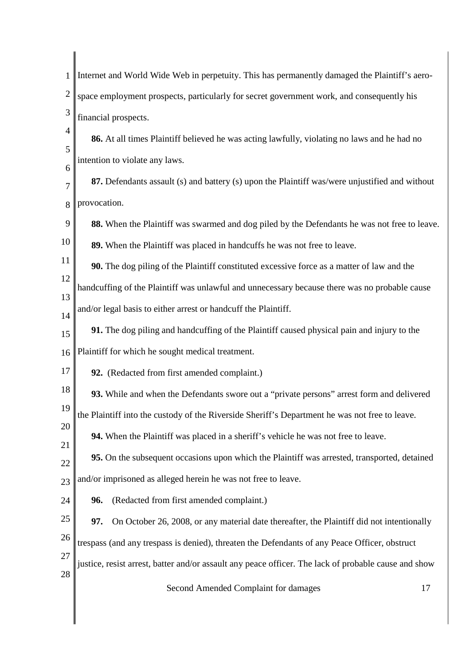| 1              | Internet and World Wide Web in perpetuity. This has permanently damaged the Plaintiff's aero-        |
|----------------|------------------------------------------------------------------------------------------------------|
| $\overline{2}$ | space employment prospects, particularly for secret government work, and consequently his            |
| 3              | financial prospects.                                                                                 |
| $\overline{4}$ | 86. At all times Plaintiff believed he was acting lawfully, violating no laws and he had no          |
| 5              | intention to violate any laws.                                                                       |
| 6<br>7         | 87. Defendants assault (s) and battery (s) upon the Plaintiff was/were unjustified and without       |
| 8              | provocation.                                                                                         |
| 9              | 88. When the Plaintiff was swarmed and dog piled by the Defendants he was not free to leave.         |
| 10             | 89. When the Plaintiff was placed in handcuffs he was not free to leave.                             |
| 11             | 90. The dog piling of the Plaintiff constituted excessive force as a matter of law and the           |
| 12             | handcuffing of the Plaintiff was unlawful and unnecessary because there was no probable cause        |
| 13<br>14       | and/or legal basis to either arrest or handcuff the Plaintiff.                                       |
| 15             | 91. The dog piling and handcuffing of the Plaintiff caused physical pain and injury to the           |
| 16             | Plaintiff for which he sought medical treatment.                                                     |
| 17             | 92. (Redacted from first amended complaint.)                                                         |
| 18             | 93. While and when the Defendants swore out a "private persons" arrest form and delivered            |
| 19             | the Plaintiff into the custody of the Riverside Sheriff's Department he was not free to leave.       |
| 20             | 94. When the Plaintiff was placed in a sheriff's vehicle he was not free to leave.                   |
| 21<br>22       | 95. On the subsequent occasions upon which the Plaintiff was arrested, transported, detained         |
| 23             | and/or imprisoned as alleged herein he was not free to leave.                                        |
| 24             | (Redacted from first amended complaint.)<br>96.                                                      |
| 25             | 97.<br>On October 26, 2008, or any material date thereafter, the Plaintiff did not intentionally     |
| 26             | trespass (and any trespass is denied), threaten the Defendants of any Peace Officer, obstruct        |
| 27             | justice, resist arrest, batter and/or assault any peace officer. The lack of probable cause and show |
| 28             | 17                                                                                                   |
|                | Second Amended Complaint for damages                                                                 |

 $\begin{array}{c} \hline \end{array}$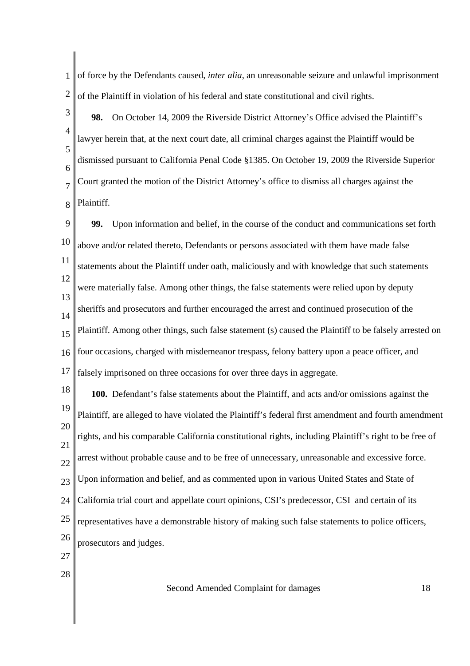1 2 of force by the Defendants caused, *inter alia*, an unreasonable seizure and unlawful imprisonment of the Plaintiff in violation of his federal and state constitutional and civil rights.

3 4 5 6 7 8 **98.** On October 14, 2009 the Riverside District Attorney's Office advised the Plaintiff's lawyer herein that, at the next court date, all criminal charges against the Plaintiff would be dismissed pursuant to California Penal Code §1385. On October 19, 2009 the Riverside Superior Court granted the motion of the District Attorney's office to dismiss all charges against the Plaintiff.

9 10 11 12 13 14 15 16 17 **99.** Upon information and belief, in the course of the conduct and communications set forth above and/or related thereto, Defendants or persons associated with them have made false statements about the Plaintiff under oath, maliciously and with knowledge that such statements were materially false. Among other things, the false statements were relied upon by deputy sheriffs and prosecutors and further encouraged the arrest and continued prosecution of the Plaintiff. Among other things, such false statement (s) caused the Plaintiff to be falsely arrested on four occasions, charged with misdemeanor trespass, felony battery upon a peace officer, and falsely imprisoned on three occasions for over three days in aggregate.

18 19 20 21 22 23 24 25 26 27 **100.** Defendant's false statements about the Plaintiff, and acts and/or omissions against the Plaintiff, are alleged to have violated the Plaintiff's federal first amendment and fourth amendment rights, and his comparable California constitutional rights, including Plaintiff's right to be free of arrest without probable cause and to be free of unnecessary, unreasonable and excessive force. Upon information and belief, and as commented upon in various United States and State of California trial court and appellate court opinions, CSI's predecessor, CSI and certain of its representatives have a demonstrable history of making such false statements to police officers, prosecutors and judges.

28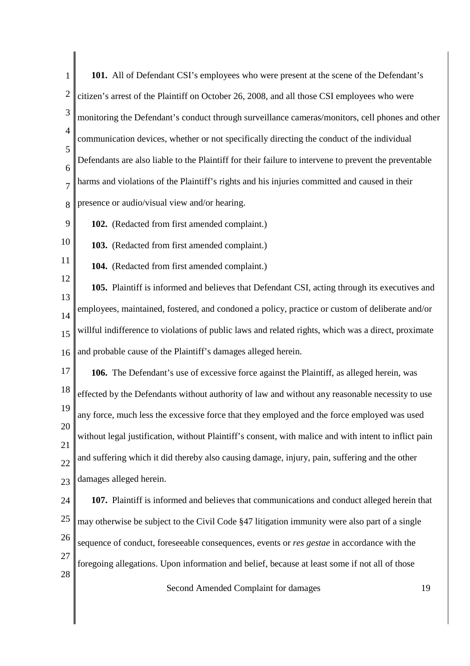| 1              | 101. All of Defendant CSI's employees who were present at the scene of the Defendant's                |
|----------------|-------------------------------------------------------------------------------------------------------|
| $\overline{2}$ | citizen's arrest of the Plaintiff on October 26, 2008, and all those CSI employees who were           |
| 3              | monitoring the Defendant's conduct through surveillance cameras/monitors, cell phones and other       |
| $\overline{4}$ | communication devices, whether or not specifically directing the conduct of the individual            |
| 5<br>6         | Defendants are also liable to the Plaintiff for their failure to intervene to prevent the preventable |
| $\overline{7}$ | harms and violations of the Plaintiff's rights and his injuries committed and caused in their         |
| 8              | presence or audio/visual view and/or hearing.                                                         |
| 9              | 102. (Redacted from first amended complaint.)                                                         |
| 10             | 103. (Redacted from first amended complaint.)                                                         |
| 11             | 104. (Redacted from first amended complaint.)                                                         |
| 12             | 105. Plaintiff is informed and believes that Defendant CSI, acting through its executives and         |
| 13<br>14       | employees, maintained, fostered, and condoned a policy, practice or custom of deliberate and/or       |
| 15             | willful indifference to violations of public laws and related rights, which was a direct, proximate   |
| 16             | and probable cause of the Plaintiff's damages alleged herein.                                         |
| 17             | 106. The Defendant's use of excessive force against the Plaintiff, as alleged herein, was             |
| 18             | effected by the Defendants without authority of law and without any reasonable necessity to use       |
| 19             | any force, much less the excessive force that they employed and the force employed was used           |
| 20             | without legal justification, without Plaintiff's consent, with malice and with intent to inflict pain |
| 21<br>22       | and suffering which it did thereby also causing damage, injury, pain, suffering and the other         |
| 23             | damages alleged herein.                                                                               |
| 24             | 107. Plaintiff is informed and believes that communications and conduct alleged herein that           |
| 25             | may otherwise be subject to the Civil Code §47 litigation immunity were also part of a single         |
| 26             | sequence of conduct, foreseeable consequences, events or res gestae in accordance with the            |
| 27             | foregoing allegations. Upon information and belief, because at least some if not all of those         |
| 28             | Second Amended Complaint for damages<br>19                                                            |
|                |                                                                                                       |
|                |                                                                                                       |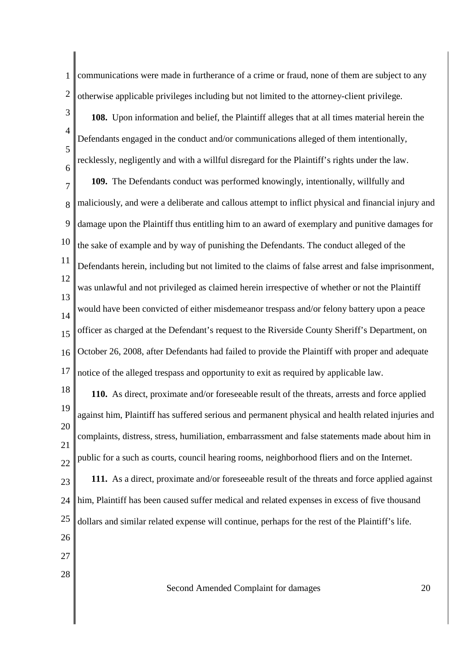1 2 communications were made in furtherance of a crime or fraud, none of them are subject to any otherwise applicable privileges including but not limited to the attorney-client privilege.

3 4 5 6 **108.** Upon information and belief, the Plaintiff alleges that at all times material herein the Defendants engaged in the conduct and/or communications alleged of them intentionally, recklessly, negligently and with a willful disregard for the Plaintiff's rights under the law.

7 8 9 10 11 12 13 14 15 16 17 **109.** The Defendants conduct was performed knowingly, intentionally, willfully and maliciously, and were a deliberate and callous attempt to inflict physical and financial injury and damage upon the Plaintiff thus entitling him to an award of exemplary and punitive damages for the sake of example and by way of punishing the Defendants. The conduct alleged of the Defendants herein, including but not limited to the claims of false arrest and false imprisonment, was unlawful and not privileged as claimed herein irrespective of whether or not the Plaintiff would have been convicted of either misdemeanor trespass and/or felony battery upon a peace officer as charged at the Defendant's request to the Riverside County Sheriff's Department, on October 26, 2008, after Defendants had failed to provide the Plaintiff with proper and adequate notice of the alleged trespass and opportunity to exit as required by applicable law.

18 19 20 21 22 **110.** As direct, proximate and/or foreseeable result of the threats, arrests and force applied against him, Plaintiff has suffered serious and permanent physical and health related injuries and complaints, distress, stress, humiliation, embarrassment and false statements made about him in public for a such as courts, council hearing rooms, neighborhood fliers and on the Internet.

23 24 25 **111.** As a direct, proximate and/or foreseeable result of the threats and force applied against him, Plaintiff has been caused suffer medical and related expenses in excess of five thousand dollars and similar related expense will continue, perhaps for the rest of the Plaintiff's life.

- 26
- 27
- 28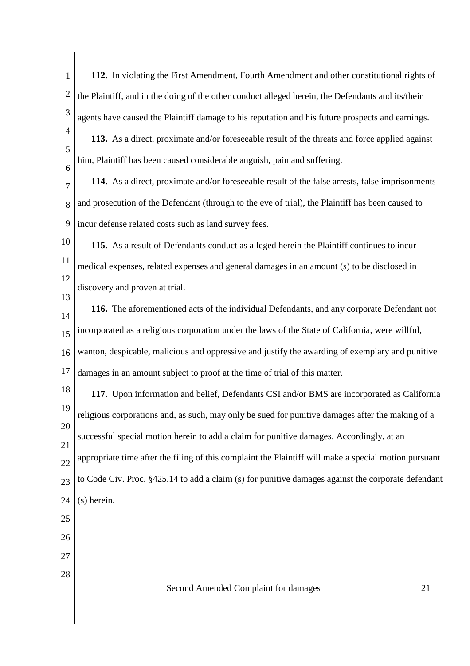1 2 3 4 5 6 7 8 9 10 11 12 13 14 15 16 17 18 19 20 21 22  $23$ 24 25 26 27 28 Second Amended Complaint for damages 21 **112.** In violating the First Amendment, Fourth Amendment and other constitutional rights of the Plaintiff, and in the doing of the other conduct alleged herein, the Defendants and its/their agents have caused the Plaintiff damage to his reputation and his future prospects and earnings. **113.** As a direct, proximate and/or foreseeable result of the threats and force applied against him, Plaintiff has been caused considerable anguish, pain and suffering. **114.** As a direct, proximate and/or foreseeable result of the false arrests, false imprisonments and prosecution of the Defendant (through to the eve of trial), the Plaintiff has been caused to incur defense related costs such as land survey fees. **115.** As a result of Defendants conduct as alleged herein the Plaintiff continues to incur medical expenses, related expenses and general damages in an amount (s) to be disclosed in discovery and proven at trial. **116.** The aforementioned acts of the individual Defendants, and any corporate Defendant not incorporated as a religious corporation under the laws of the State of California, were willful, wanton, despicable, malicious and oppressive and justify the awarding of exemplary and punitive damages in an amount subject to proof at the time of trial of this matter. **117.** Upon information and belief, Defendants CSI and/or BMS are incorporated as California religious corporations and, as such, may only be sued for punitive damages after the making of a successful special motion herein to add a claim for punitive damages. Accordingly, at an appropriate time after the filing of this complaint the Plaintiff will make a special motion pursuant to Code Civ. Proc. §425.14 to add a claim (s) for punitive damages against the corporate defendant (s) herein.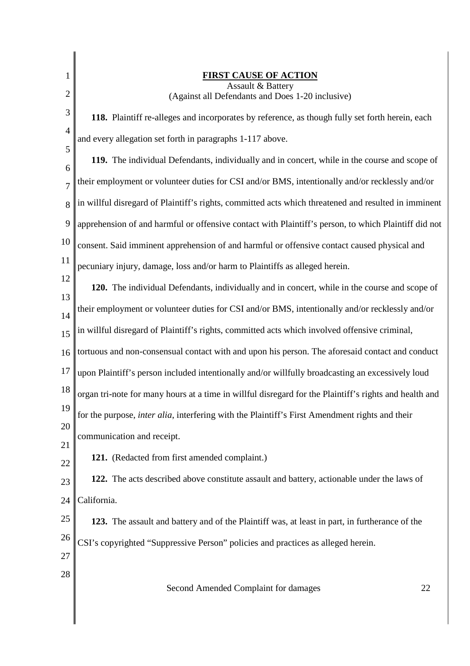| 1                   | <b>FIRST CAUSE OF ACTION</b><br><b>Assault &amp; Battery</b>                                           |
|---------------------|--------------------------------------------------------------------------------------------------------|
| $\overline{2}$      | (Against all Defendants and Does 1-20 inclusive)                                                       |
| 3                   | 118. Plaintiff re-alleges and incorporates by reference, as though fully set forth herein, each        |
| $\overline{4}$<br>5 | and every allegation set forth in paragraphs 1-117 above.                                              |
| 6                   | 119. The individual Defendants, individually and in concert, while in the course and scope of          |
| $\overline{7}$      | their employment or volunteer duties for CSI and/or BMS, intentionally and/or recklessly and/or        |
| 8                   | in willful disregard of Plaintiff's rights, committed acts which threatened and resulted in imminent   |
| 9                   | apprehension of and harmful or offensive contact with Plaintiff's person, to which Plaintiff did not   |
| 10                  | consent. Said imminent apprehension of and harmful or offensive contact caused physical and            |
| 11                  | pecuniary injury, damage, loss and/or harm to Plaintiffs as alleged herein.                            |
| 12                  | 120. The individual Defendants, individually and in concert, while in the course and scope of          |
| 13<br>14            | their employment or volunteer duties for CSI and/or BMS, intentionally and/or recklessly and/or        |
| 15                  | in willful disregard of Plaintiff's rights, committed acts which involved offensive criminal,          |
| 16                  | tortuous and non-consensual contact with and upon his person. The aforesaid contact and conduct        |
| 17                  | upon Plaintiff's person included intentionally and/or willfully broadcasting an excessively loud       |
| 18                  | organ tri-note for many hours at a time in willful disregard for the Plaintiff's rights and health and |
| 19                  | for the purpose, <i>inter alia</i> , interfering with the Plaintiff's First Amendment rights and their |
| 20                  | communication and receipt.                                                                             |
| 21<br>22            | 121. (Redacted from first amended complaint.)                                                          |
| 23                  | 122. The acts described above constitute assault and battery, actionable under the laws of             |
| 24                  | California.                                                                                            |
| 25                  | 123. The assault and battery and of the Plaintiff was, at least in part, in furtherance of the         |
| 26                  | CSI's copyrighted "Suppressive Person" policies and practices as alleged herein.                       |
| 27                  |                                                                                                        |
| 28                  | Second Amended Complaint for damages<br>22                                                             |
|                     |                                                                                                        |
|                     |                                                                                                        |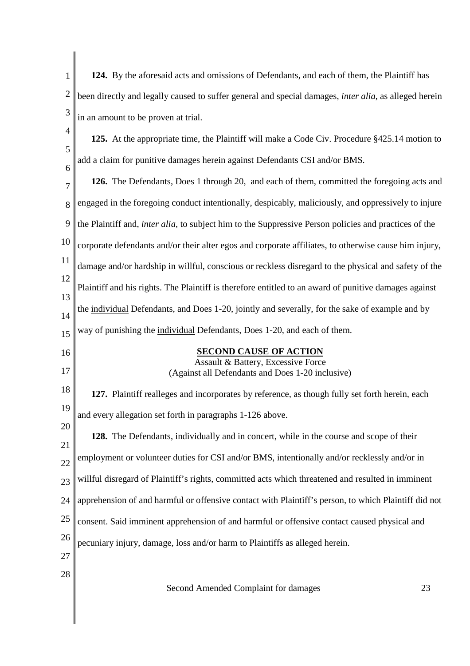| $\mathbf{1}$   | 124. By the aforesaid acts and omissions of Defendants, and each of them, the Plaintiff has                   |
|----------------|---------------------------------------------------------------------------------------------------------------|
| $\overline{2}$ | been directly and legally caused to suffer general and special damages, <i>inter alia</i> , as alleged herein |
| 3              | in an amount to be proven at trial.                                                                           |
| 4              | 125. At the appropriate time, the Plaintiff will make a Code Civ. Procedure §425.14 motion to                 |
| 5              | add a claim for punitive damages herein against Defendants CSI and/or BMS.                                    |
| 6<br>7         | 126. The Defendants, Does 1 through 20, and each of them, committed the foregoing acts and                    |
| 8              | engaged in the foregoing conduct intentionally, despicably, maliciously, and oppressively to injure           |
| 9              | the Plaintiff and, inter alia, to subject him to the Suppressive Person policies and practices of the         |
| 10             | corporate defendants and/or their alter egos and corporate affiliates, to otherwise cause him injury,         |
| 11             | damage and/or hardship in willful, conscious or reckless disregard to the physical and safety of the          |
| 12             | Plaintiff and his rights. The Plaintiff is therefore entitled to an award of punitive damages against         |
| 13             | the individual Defendants, and Does 1-20, jointly and severally, for the sake of example and by               |
| 14<br>15       | way of punishing the individual Defendants, Does 1-20, and each of them.                                      |
| 16             | <b>SECOND CAUSE OF ACTION</b>                                                                                 |
| 17             | Assault & Battery, Excessive Force<br>(Against all Defendants and Does 1-20 inclusive)                        |
| 18             | 127. Plaintiff realleges and incorporates by reference, as though fully set forth herein, each                |
| 19             | and every allegation set forth in paragraphs 1-126 above.                                                     |
| 20             | 128. The Defendants, individually and in concert, while in the course and scope of their                      |
| 21             | employment or volunteer duties for CSI and/or BMS, intentionally and/or recklessly and/or in                  |
| 22<br>23       | willful disregard of Plaintiff's rights, committed acts which threatened and resulted in imminent             |
| 24             | apprehension of and harmful or offensive contact with Plaintiff's person, to which Plaintiff did not          |
| 25             | consent. Said imminent apprehension of and harmful or offensive contact caused physical and                   |
| 26             | pecuniary injury, damage, loss and/or harm to Plaintiffs as alleged herein.                                   |
| 27             |                                                                                                               |
| 28             |                                                                                                               |
|                | Second Amended Complaint for damages<br>23                                                                    |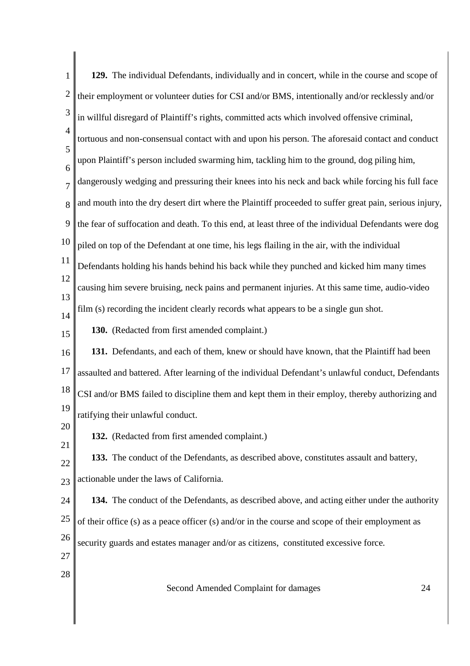| $\mathbf{1}$   | 129. The individual Defendants, individually and in concert, while in the course and scope of          |
|----------------|--------------------------------------------------------------------------------------------------------|
| $\overline{c}$ | their employment or volunteer duties for CSI and/or BMS, intentionally and/or recklessly and/or        |
| 3              | in willful disregard of Plaintiff's rights, committed acts which involved offensive criminal,          |
| $\overline{4}$ | tortuous and non-consensual contact with and upon his person. The aforesaid contact and conduct        |
| 5<br>6         | upon Plaintiff's person included swarming him, tackling him to the ground, dog piling him,             |
| $\overline{7}$ | dangerously wedging and pressuring their knees into his neck and back while forcing his full face      |
| 8              | and mouth into the dry desert dirt where the Plaintiff proceeded to suffer great pain, serious injury, |
| 9              | the fear of suffocation and death. To this end, at least three of the individual Defendants were dog   |
| 10             | piled on top of the Defendant at one time, his legs flailing in the air, with the individual           |
| 11             | Defendants holding his hands behind his back while they punched and kicked him many times              |
| 12<br>13       | causing him severe bruising, neck pains and permanent injuries. At this same time, audio-video         |
| 14             | film (s) recording the incident clearly records what appears to be a single gun shot.                  |
| 15             | 130. (Redacted from first amended complaint.)                                                          |
| 16             | 131. Defendants, and each of them, knew or should have known, that the Plaintiff had been              |
| 17             | assaulted and battered. After learning of the individual Defendant's unlawful conduct, Defendants      |
| 18             | CSI and/or BMS failed to discipline them and kept them in their employ, thereby authorizing and        |
| 19<br>20       | ratifying their unlawful conduct.                                                                      |
| 21             | 132. (Redacted from first amended complaint.)                                                          |
| 22             | 133. The conduct of the Defendants, as described above, constitutes assault and battery,               |
| 23             | actionable under the laws of California.                                                               |
| 24             | 134. The conduct of the Defendants, as described above, and acting either under the authority          |
| 25             | of their office (s) as a peace officer (s) and/or in the course and scope of their employment as       |
| 26             | security guards and estates manager and/or as citizens, constituted excessive force.                   |
| 27<br>28       |                                                                                                        |
|                | Second Amended Complaint for damages<br>24                                                             |
|                |                                                                                                        |
|                |                                                                                                        |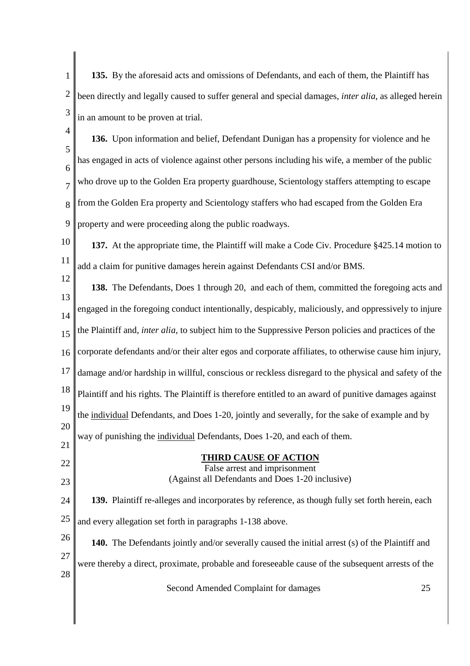1 2 3 **135.** By the aforesaid acts and omissions of Defendants, and each of them, the Plaintiff has been directly and legally caused to suffer general and special damages, *inter alia*, as alleged herein in an amount to be proven at trial.

- 4 5 6 7 8 9 **136.** Upon information and belief, Defendant Dunigan has a propensity for violence and he has engaged in acts of violence against other persons including his wife, a member of the public who drove up to the Golden Era property guardhouse, Scientology staffers attempting to escape from the Golden Era property and Scientology staffers who had escaped from the Golden Era property and were proceeding along the public roadways.
- 10 11 **137.** At the appropriate time, the Plaintiff will make a Code Civ. Procedure §425.14 motion to add a claim for punitive damages herein against Defendants CSI and/or BMS.
- 12 13 14 15 16 17 18 19 20 21 **138.** The Defendants, Does 1 through 20, and each of them, committed the foregoing acts and engaged in the foregoing conduct intentionally, despicably, maliciously, and oppressively to injure the Plaintiff and, *inter alia*, to subject him to the Suppressive Person policies and practices of the corporate defendants and/or their alter egos and corporate affiliates, to otherwise cause him injury, damage and/or hardship in willful, conscious or reckless disregard to the physical and safety of the Plaintiff and his rights. The Plaintiff is therefore entitled to an award of punitive damages against the individual Defendants, and Does 1-20, jointly and severally, for the sake of example and by way of punishing the individual Defendants, Does 1-20, and each of them.

# **THIRD CAUSE OF ACTION**

22

23

### False arrest and imprisonment (Against all Defendants and Does 1-20 inclusive)

- 24 25 **139.** Plaintiff re-alleges and incorporates by reference, as though fully set forth herein, each and every allegation set forth in paragraphs 1-138 above.
- 26 27 28 **140.** The Defendants jointly and/or severally caused the initial arrest (s) of the Plaintiff and were thereby a direct, proximate, probable and foreseeable cause of the subsequent arrests of the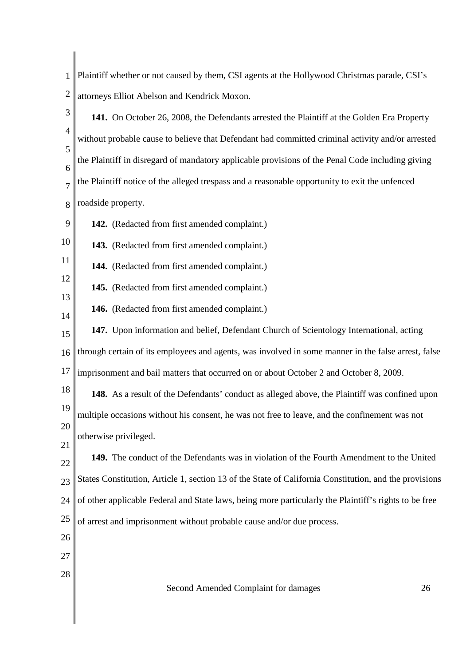1 2 Plaintiff whether or not caused by them, CSI agents at the Hollywood Christmas parade, CSI's attorneys Elliot Abelson and Kendrick Moxon.

3 4 5 6 7 8 **141.** On October 26, 2008, the Defendants arrested the Plaintiff at the Golden Era Property without probable cause to believe that Defendant had committed criminal activity and/or arrested the Plaintiff in disregard of mandatory applicable provisions of the Penal Code including giving the Plaintiff notice of the alleged trespass and a reasonable opportunity to exit the unfenced roadside property.

9 **142.** (Redacted from first amended complaint.)

10 **143.** (Redacted from first amended complaint.)

11 **144.** (Redacted from first amended complaint.)

12 13 **145.** (Redacted from first amended complaint.)

14 **146.** (Redacted from first amended complaint.)

15 16 17 **147.** Upon information and belief, Defendant Church of Scientology International, acting through certain of its employees and agents, was involved in some manner in the false arrest, false imprisonment and bail matters that occurred on or about October 2 and October 8, 2009.

18 19 20 **148.** As a result of the Defendants' conduct as alleged above, the Plaintiff was confined upon multiple occasions without his consent, he was not free to leave, and the confinement was not otherwise privileged.

22  $23$ 24 **149.** The conduct of the Defendants was in violation of the Fourth Amendment to the United States Constitution, Article 1, section 13 of the State of California Constitution, and the provisions of other applicable Federal and State laws, being more particularly the Plaintiff's rights to be free

25 of arrest and imprisonment without probable cause and/or due process.

26

21

- 27
- 28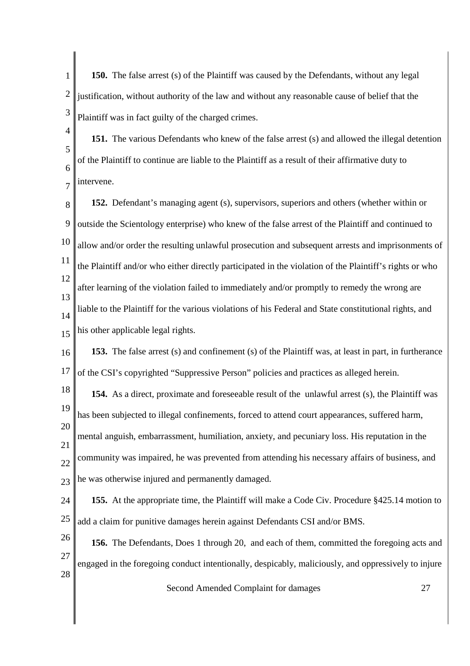1 2 3 **150.** The false arrest (s) of the Plaintiff was caused by the Defendants, without any legal justification, without authority of the law and without any reasonable cause of belief that the Plaintiff was in fact guilty of the charged crimes.

4 5 6 7 **151.** The various Defendants who knew of the false arrest (s) and allowed the illegal detention of the Plaintiff to continue are liable to the Plaintiff as a result of their affirmative duty to intervene.

8 9 10 11 12 13 14 15 **152.** Defendant's managing agent (s), supervisors, superiors and others (whether within or outside the Scientology enterprise) who knew of the false arrest of the Plaintiff and continued to allow and/or order the resulting unlawful prosecution and subsequent arrests and imprisonments of the Plaintiff and/or who either directly participated in the violation of the Plaintiff's rights or who after learning of the violation failed to immediately and/or promptly to remedy the wrong are liable to the Plaintiff for the various violations of his Federal and State constitutional rights, and his other applicable legal rights.

16 17 **153.** The false arrest (s) and confinement (s) of the Plaintiff was, at least in part, in furtherance of the CSI's copyrighted "Suppressive Person" policies and practices as alleged herein.

18 19 20 21 **154.** As a direct, proximate and foreseeable result of the unlawful arrest (s), the Plaintiff was has been subjected to illegal confinements, forced to attend court appearances, suffered harm, mental anguish, embarrassment, humiliation, anxiety, and pecuniary loss. His reputation in the

22 23 community was impaired, he was prevented from attending his necessary affairs of business, and he was otherwise injured and permanently damaged.

24 25 **155.** At the appropriate time, the Plaintiff will make a Code Civ. Procedure §425.14 motion to add a claim for punitive damages herein against Defendants CSI and/or BMS.

26 27 28 **156.** The Defendants, Does 1 through 20, and each of them, committed the foregoing acts and engaged in the foregoing conduct intentionally, despicably, maliciously, and oppressively to injure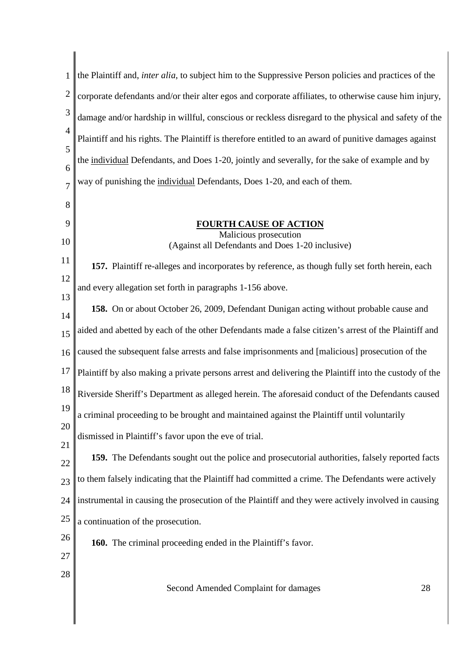| 1              | the Plaintiff and, <i>inter alia</i> , to subject him to the Suppressive Person policies and practices of the |
|----------------|---------------------------------------------------------------------------------------------------------------|
| $\overline{2}$ | corporate defendants and/or their alter egos and corporate affiliates, to otherwise cause him injury,         |
| 3              | damage and/or hardship in willful, conscious or reckless disregard to the physical and safety of the          |
| $\overline{4}$ | Plaintiff and his rights. The Plaintiff is therefore entitled to an award of punitive damages against         |
| 5<br>6         | the individual Defendants, and Does 1-20, jointly and severally, for the sake of example and by               |
| $\overline{7}$ | way of punishing the individual Defendants, Does 1-20, and each of them.                                      |
| 8              |                                                                                                               |
| 9              | <b>FOURTH CAUSE OF ACTION</b>                                                                                 |
| 10             | Malicious prosecution<br>(Against all Defendants and Does 1-20 inclusive)                                     |
| 11             | 157. Plaintiff re-alleges and incorporates by reference, as though fully set forth herein, each               |
| 12<br>13       | and every allegation set forth in paragraphs 1-156 above.                                                     |
| 14             | <b>158.</b> On or about October 26, 2009, Defendant Dunigan acting without probable cause and                 |
| 15             | aided and abetted by each of the other Defendants made a false citizen's arrest of the Plaintiff and          |
| 16             | caused the subsequent false arrests and false imprisonments and [malicious] prosecution of the                |
| 17             | Plaintiff by also making a private persons arrest and delivering the Plaintiff into the custody of the        |
| 18             | Riverside Sheriff's Department as alleged herein. The aforesaid conduct of the Defendants caused              |
| 19<br>20       | a criminal proceeding to be brought and maintained against the Plaintiff until voluntarily                    |
| 21             | dismissed in Plaintiff's favor upon the eve of trial.                                                         |
| 22             | 159. The Defendants sought out the police and prosecutorial authorities, falsely reported facts               |
| 23             | to them falsely indicating that the Plaintiff had committed a crime. The Defendants were actively             |
| 24             | instrumental in causing the prosecution of the Plaintiff and they were actively involved in causing           |
| 25             | a continuation of the prosecution.                                                                            |
| 26             | 160. The criminal proceeding ended in the Plaintiff's favor.                                                  |
| 27             |                                                                                                               |
| 28             | Second Amended Complaint for damages<br>28                                                                    |
|                |                                                                                                               |
|                |                                                                                                               |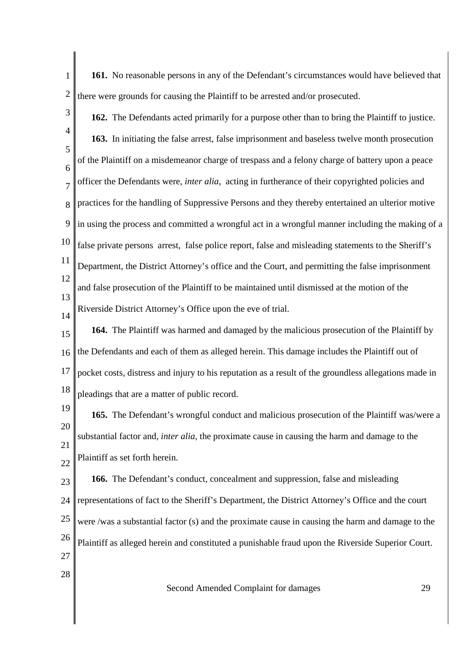1 2 **161.** No reasonable persons in any of the Defendant's circumstances would have believed that there were grounds for causing the Plaintiff to be arrested and/or prosecuted.

3

4 5 6 7 8 9 10 11 12 13 14 **162.** The Defendants acted primarily for a purpose other than to bring the Plaintiff to justice. **163.** In initiating the false arrest, false imprisonment and baseless twelve month prosecution of the Plaintiff on a misdemeanor charge of trespass and a felony charge of battery upon a peace officer the Defendants were, *inter alia*, acting in furtherance of their copyrighted policies and practices for the handling of Suppressive Persons and they thereby entertained an ulterior motive in using the process and committed a wrongful act in a wrongful manner including the making of a false private persons arrest, false police report, false and misleading statements to the Sheriff's Department, the District Attorney's office and the Court, and permitting the false imprisonment and false prosecution of the Plaintiff to be maintained until dismissed at the motion of the Riverside District Attorney's Office upon the eve of trial.

15 16 17 18 **164.** The Plaintiff was harmed and damaged by the malicious prosecution of the Plaintiff by the Defendants and each of them as alleged herein. This damage includes the Plaintiff out of pocket costs, distress and injury to his reputation as a result of the groundless allegations made in pleadings that are a matter of public record.

19 20 21 22 **165.** The Defendant's wrongful conduct and malicious prosecution of the Plaintiff was/were a substantial factor and, *inter alia*, the proximate cause in causing the harm and damage to the Plaintiff as set forth herein.

23 24 25 26 27 **166.** The Defendant's conduct, concealment and suppression, false and misleading representations of fact to the Sheriff's Department, the District Attorney's Office and the court were /was a substantial factor (s) and the proximate cause in causing the harm and damage to the Plaintiff as alleged herein and constituted a punishable fraud upon the Riverside Superior Court.

28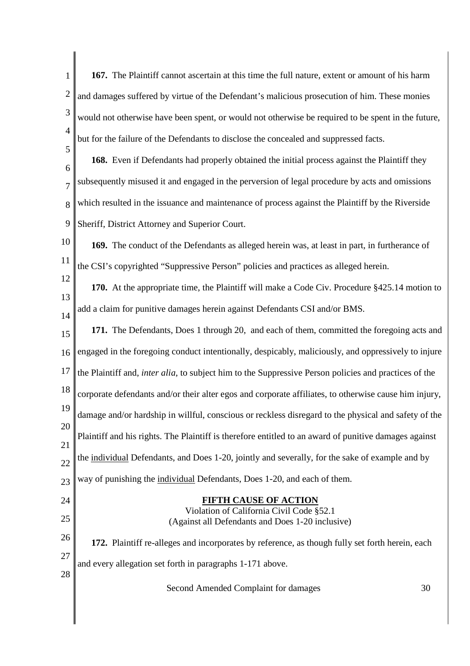1 2 3 4 5 6 7 8 9 10 11 12 13 14 15 16 17 18 19 20 21 22 23 24 25 26 27 28 Second Amended Complaint for damages 30 **167.** The Plaintiff cannot ascertain at this time the full nature, extent or amount of his harm and damages suffered by virtue of the Defendant's malicious prosecution of him. These monies would not otherwise have been spent, or would not otherwise be required to be spent in the future, but for the failure of the Defendants to disclose the concealed and suppressed facts. **168.** Even if Defendants had properly obtained the initial process against the Plaintiff they subsequently misused it and engaged in the perversion of legal procedure by acts and omissions which resulted in the issuance and maintenance of process against the Plaintiff by the Riverside Sheriff, District Attorney and Superior Court. **169.** The conduct of the Defendants as alleged herein was, at least in part, in furtherance of the CSI's copyrighted "Suppressive Person" policies and practices as alleged herein. **170.** At the appropriate time, the Plaintiff will make a Code Civ. Procedure §425.14 motion to add a claim for punitive damages herein against Defendants CSI and/or BMS. **171.** The Defendants, Does 1 through 20, and each of them, committed the foregoing acts and engaged in the foregoing conduct intentionally, despicably, maliciously, and oppressively to injure the Plaintiff and, *inter alia*, to subject him to the Suppressive Person policies and practices of the corporate defendants and/or their alter egos and corporate affiliates, to otherwise cause him injury, damage and/or hardship in willful, conscious or reckless disregard to the physical and safety of the Plaintiff and his rights. The Plaintiff is therefore entitled to an award of punitive damages against the individual Defendants, and Does 1-20, jointly and severally, for the sake of example and by way of punishing the individual Defendants, Does 1-20, and each of them. **FIFTH CAUSE OF ACTION** Violation of California Civil Code §52.1 (Against all Defendants and Does 1-20 inclusive) **172.** Plaintiff re-alleges and incorporates by reference, as though fully set forth herein, each and every allegation set forth in paragraphs 1-171 above.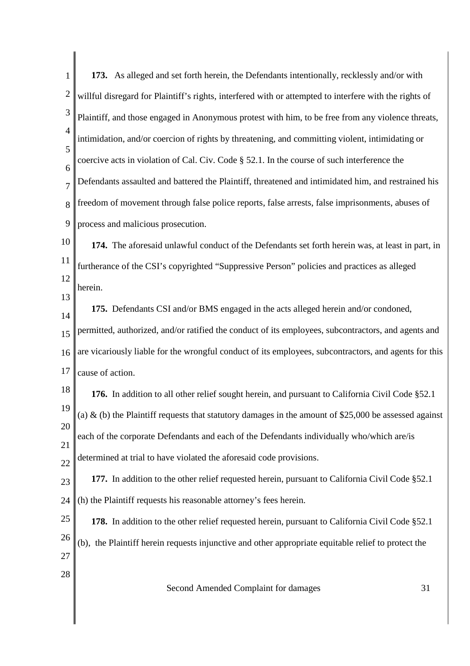| $\mathbf{1}$   | 173. As alleged and set forth herein, the Defendants intentionally, recklessly and/or with               |
|----------------|----------------------------------------------------------------------------------------------------------|
| $\overline{c}$ | willful disregard for Plaintiff's rights, interfered with or attempted to interfere with the rights of   |
| $\mathfrak{Z}$ | Plaintiff, and those engaged in Anonymous protest with him, to be free from any violence threats,        |
| $\overline{4}$ | intimidation, and/or coercion of rights by threatening, and committing violent, intimidating or          |
| 5<br>6         | coercive acts in violation of Cal. Civ. Code § 52.1. In the course of such interference the              |
| $\overline{7}$ | Defendants assaulted and battered the Plaintiff, threatened and intimidated him, and restrained his      |
| 8              | freedom of movement through false police reports, false arrests, false imprisonments, abuses of          |
| 9              | process and malicious prosecution.                                                                       |
| 10             | 174. The aforesaid unlawful conduct of the Defendants set forth herein was, at least in part, in         |
| 11             | furtherance of the CSI's copyrighted "Suppressive Person" policies and practices as alleged              |
| 12             | herein.                                                                                                  |
| 13<br>14       | 175. Defendants CSI and/or BMS engaged in the acts alleged herein and/or condoned,                       |
| 15             | permitted, authorized, and/or ratified the conduct of its employees, subcontractors, and agents and      |
| 16             | are vicariously liable for the wrongful conduct of its employees, subcontractors, and agents for this    |
| 17             | cause of action.                                                                                         |
| 18             | 176. In addition to all other relief sought herein, and pursuant to California Civil Code §52.1          |
| 19             | (a) $\&$ (b) the Plaintiff requests that statutory damages in the amount of \$25,000 be assessed against |
| 20<br>21       | each of the corporate Defendants and each of the Defendants individually who/which are/is                |
| 22             | determined at trial to have violated the aforesaid code provisions.                                      |
| 23             | 177. In addition to the other relief requested herein, pursuant to California Civil Code §52.1           |
| 24             | (h) the Plaintiff requests his reasonable attorney's fees herein.                                        |
| 25             | 178. In addition to the other relief requested herein, pursuant to California Civil Code §52.1           |
| 26             | (b), the Plaintiff herein requests injunctive and other appropriate equitable relief to protect the      |
| 27             |                                                                                                          |
| 28             | Second Amended Complaint for damages<br>31                                                               |
|                |                                                                                                          |

║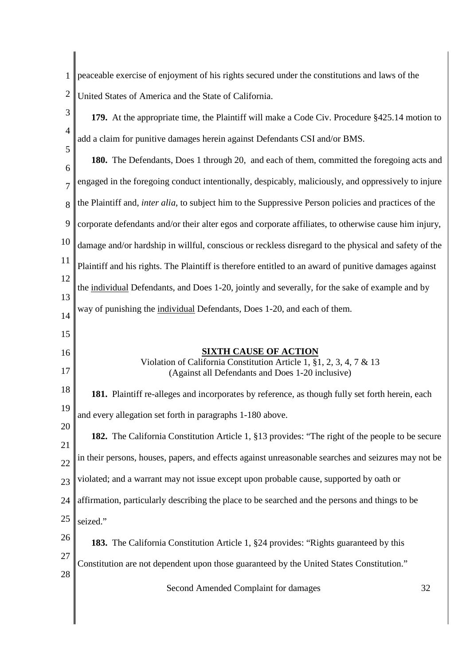- 1 2 peaceable exercise of enjoyment of his rights secured under the constitutions and laws of the United States of America and the State of California.
- 3 4 5 6 7 8 9 10 11 12 13 14 15 16 17 18 19 20 21 22 23 24 25 26 27 28 Second Amended Complaint for damages 32 **179.** At the appropriate time, the Plaintiff will make a Code Civ. Procedure §425.14 motion to add a claim for punitive damages herein against Defendants CSI and/or BMS. **180.** The Defendants, Does 1 through 20, and each of them, committed the foregoing acts and engaged in the foregoing conduct intentionally, despicably, maliciously, and oppressively to injure the Plaintiff and, *inter alia*, to subject him to the Suppressive Person policies and practices of the corporate defendants and/or their alter egos and corporate affiliates, to otherwise cause him injury, damage and/or hardship in willful, conscious or reckless disregard to the physical and safety of the Plaintiff and his rights. The Plaintiff is therefore entitled to an award of punitive damages against the individual Defendants, and Does 1-20, jointly and severally, for the sake of example and by way of punishing the individual Defendants, Does 1-20, and each of them. **SIXTH CAUSE OF ACTION** Violation of California Constitution Article 1, §1, 2, 3, 4, 7 & 13 (Against all Defendants and Does 1-20 inclusive) **181.** Plaintiff re-alleges and incorporates by reference, as though fully set forth herein, each and every allegation set forth in paragraphs 1-180 above. **182.** The California Constitution Article 1, §13 provides: "The right of the people to be secure in their persons, houses, papers, and effects against unreasonable searches and seizures may not be violated; and a warrant may not issue except upon probable cause, supported by oath or affirmation, particularly describing the place to be searched and the persons and things to be seized." **183.** The California Constitution Article 1, §24 provides: "Rights guaranteed by this Constitution are not dependent upon those guaranteed by the United States Constitution."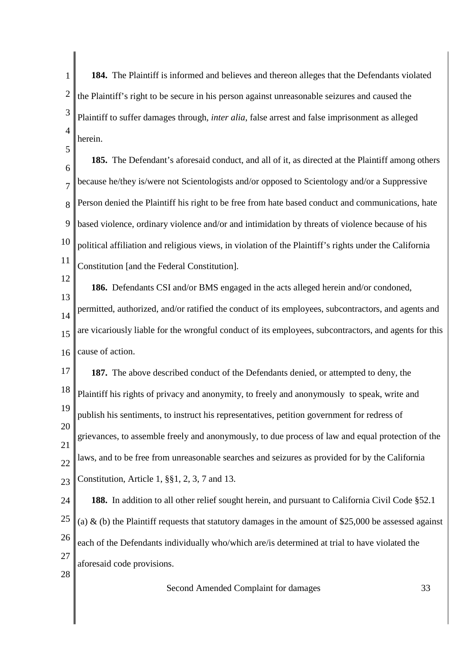1 2 3 4 **184.** The Plaintiff is informed and believes and thereon alleges that the Defendants violated the Plaintiff's right to be secure in his person against unreasonable seizures and caused the Plaintiff to suffer damages through, *inter alia*, false arrest and false imprisonment as alleged herein.

6 7 8 9 10 11 **185.** The Defendant's aforesaid conduct, and all of it, as directed at the Plaintiff among others because he/they is/were not Scientologists and/or opposed to Scientology and/or a Suppressive Person denied the Plaintiff his right to be free from hate based conduct and communications, hate based violence, ordinary violence and/or and intimidation by threats of violence because of his political affiliation and religious views, in violation of the Plaintiff's rights under the California Constitution [and the Federal Constitution].

12

13

5

**186.** Defendants CSI and/or BMS engaged in the acts alleged herein and/or condoned,

14 15 16 permitted, authorized, and/or ratified the conduct of its employees, subcontractors, and agents and are vicariously liable for the wrongful conduct of its employees, subcontractors, and agents for this cause of action.

17 18 19 20 21 22 **187.** The above described conduct of the Defendants denied, or attempted to deny, the Plaintiff his rights of privacy and anonymity, to freely and anonymously to speak, write and publish his sentiments, to instruct his representatives, petition government for redress of grievances, to assemble freely and anonymously, to due process of law and equal protection of the laws, and to be free from unreasonable searches and seizures as provided for by the California

24 25 26 27 **188.** In addition to all other relief sought herein, and pursuant to California Civil Code §52.1 (a)  $\&$  (b) the Plaintiff requests that statutory damages in the amount of \$25,000 be assessed against each of the Defendants individually who/which are/is determined at trial to have violated the aforesaid code provisions.

28

 $23$ 

Constitution, Article 1, §§1, 2, 3, 7 and 13.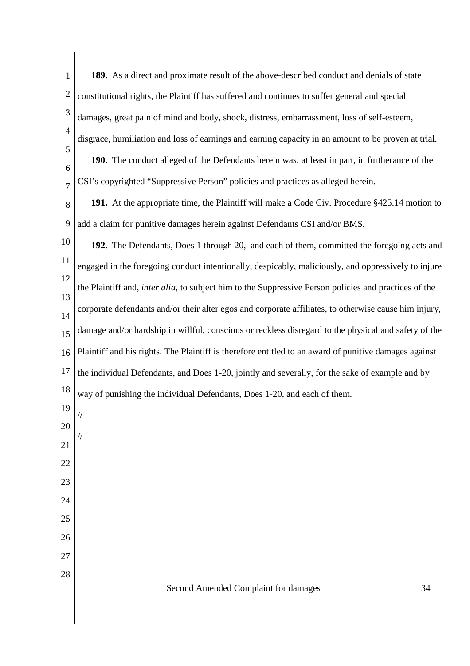| 1              | 189. As a direct and proximate result of the above-described conduct and denials of state                     |
|----------------|---------------------------------------------------------------------------------------------------------------|
| $\overline{c}$ | constitutional rights, the Plaintiff has suffered and continues to suffer general and special                 |
| 3              | damages, great pain of mind and body, shock, distress, embarrassment, loss of self-esteem,                    |
| $\overline{4}$ | disgrace, humiliation and loss of earnings and earning capacity in an amount to be proven at trial.           |
| 5<br>6         | 190. The conduct alleged of the Defendants herein was, at least in part, in furtherance of the                |
| $\overline{7}$ | CSI's copyrighted "Suppressive Person" policies and practices as alleged herein.                              |
| 8              | 191. At the appropriate time, the Plaintiff will make a Code Civ. Procedure §425.14 motion to                 |
| 9              | add a claim for punitive damages herein against Defendants CSI and/or BMS.                                    |
| 10             | 192. The Defendants, Does 1 through 20, and each of them, committed the foregoing acts and                    |
| 11             | engaged in the foregoing conduct intentionally, despicably, maliciously, and oppressively to injure           |
| 12             | the Plaintiff and, <i>inter alia</i> , to subject him to the Suppressive Person policies and practices of the |
| 13<br>14       | corporate defendants and/or their alter egos and corporate affiliates, to otherwise cause him injury,         |
| 15             | damage and/or hardship in willful, conscious or reckless disregard to the physical and safety of the          |
| 16             | Plaintiff and his rights. The Plaintiff is therefore entitled to an award of punitive damages against         |
| 17             | the individual Defendants, and Does 1-20, jointly and severally, for the sake of example and by               |
| 18             | way of punishing the individual Defendants, Does 1-20, and each of them.                                      |
| 19             |                                                                                                               |
| 20             |                                                                                                               |
| 21             |                                                                                                               |
| 22<br>23       |                                                                                                               |
| 24             |                                                                                                               |
| 25             |                                                                                                               |
| 26             |                                                                                                               |
| 27             |                                                                                                               |
| 28             |                                                                                                               |
|                | Second Amended Complaint for damages<br>34                                                                    |

 $\begin{array}{c} \hline \end{array}$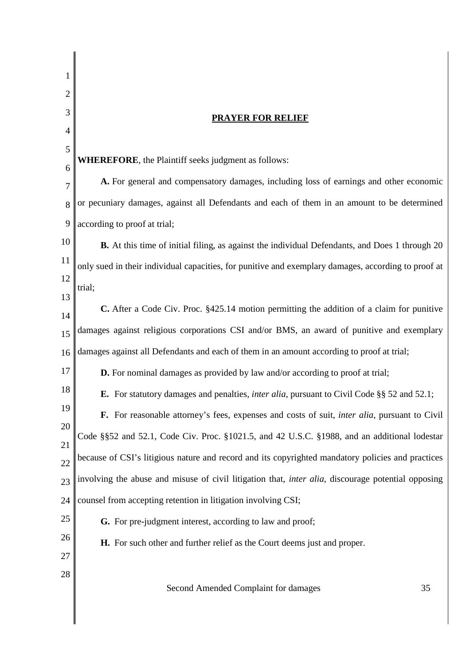| 1              |                                                                                                            |  |  |  |
|----------------|------------------------------------------------------------------------------------------------------------|--|--|--|
| 2<br>3         |                                                                                                            |  |  |  |
| $\overline{4}$ | <b>PRAYER FOR RELIEF</b>                                                                                   |  |  |  |
| 5              |                                                                                                            |  |  |  |
| 6              | <b>WHEREFORE</b> , the Plaintiff seeks judgment as follows:                                                |  |  |  |
| 7              | A. For general and compensatory damages, including loss of earnings and other economic                     |  |  |  |
| 8              | or pecuniary damages, against all Defendants and each of them in an amount to be determined                |  |  |  |
| 9              | according to proof at trial;                                                                               |  |  |  |
| 10             | <b>B.</b> At this time of initial filing, as against the individual Defendants, and Does 1 through 20      |  |  |  |
| 11             | only sued in their individual capacities, for punitive and exemplary damages, according to proof at        |  |  |  |
| 12             | trial;                                                                                                     |  |  |  |
| 13             | C. After a Code Civ. Proc. §425.14 motion permitting the addition of a claim for punitive                  |  |  |  |
| 14<br>15       | damages against religious corporations CSI and/or BMS, an award of punitive and exemplary                  |  |  |  |
| 16             | damages against all Defendants and each of them in an amount according to proof at trial;                  |  |  |  |
| 17             | D. For nominal damages as provided by law and/or according to proof at trial;                              |  |  |  |
| 18             | <b>E.</b> For statutory damages and penalties, <i>inter alia</i> , pursuant to Civil Code §§ 52 and 52.1;  |  |  |  |
| 19             | F. For reasonable attorney's fees, expenses and costs of suit, <i>inter alia</i> , pursuant to Civil       |  |  |  |
| 20             |                                                                                                            |  |  |  |
| 21             | Code §§52 and 52.1, Code Civ. Proc. §1021.5, and 42 U.S.C. §1988, and an additional lodestar               |  |  |  |
| 22             | because of CSI's litigious nature and record and its copyrighted mandatory policies and practices          |  |  |  |
| 23             | involving the abuse and misuse of civil litigation that, <i>inter alia</i> , discourage potential opposing |  |  |  |
| 24             | counsel from accepting retention in litigation involving CSI;                                              |  |  |  |
| 25             | G. For pre-judgment interest, according to law and proof;                                                  |  |  |  |
| 26             | H. For such other and further relief as the Court deems just and proper.                                   |  |  |  |
| 27<br>28       |                                                                                                            |  |  |  |
|                | 35<br>Second Amended Complaint for damages                                                                 |  |  |  |
|                |                                                                                                            |  |  |  |
|                |                                                                                                            |  |  |  |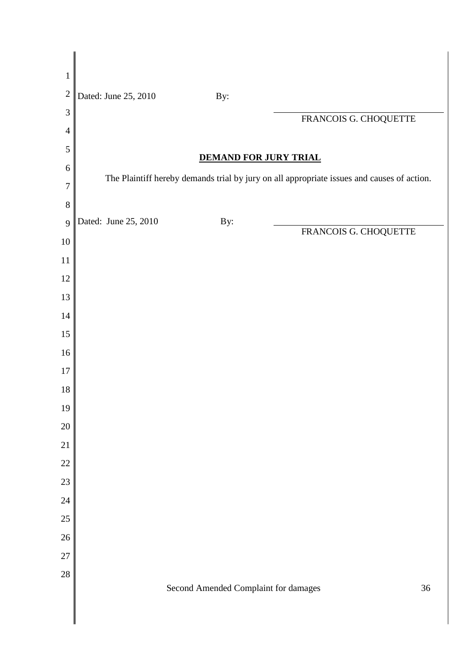| $\mathbf{1}$   |                      |                                      |                                                                                            |        |
|----------------|----------------------|--------------------------------------|--------------------------------------------------------------------------------------------|--------|
| $\overline{c}$ | Dated: June 25, 2010 | By:                                  |                                                                                            |        |
| 3              |                      |                                      | FRANCOIS G. CHOQUETTE                                                                      |        |
| $\overline{4}$ |                      |                                      |                                                                                            |        |
| 5              |                      | <b>DEMAND FOR JURY TRIAL</b>         |                                                                                            |        |
| 6              |                      |                                      | The Plaintiff hereby demands trial by jury on all appropriate issues and causes of action. |        |
| 7              |                      |                                      |                                                                                            |        |
| 8              |                      |                                      |                                                                                            |        |
| 9              | Dated: June 25, 2010 | By:                                  | FRANCOIS G. CHOQUETTE                                                                      |        |
| $10\,$         |                      |                                      |                                                                                            |        |
| 11             |                      |                                      |                                                                                            |        |
| 12             |                      |                                      |                                                                                            |        |
| 13             |                      |                                      |                                                                                            |        |
| 14             |                      |                                      |                                                                                            |        |
| 15             |                      |                                      |                                                                                            |        |
| 16             |                      |                                      |                                                                                            |        |
| $17\,$         |                      |                                      |                                                                                            |        |
| 18             |                      |                                      |                                                                                            |        |
| 19             |                      |                                      |                                                                                            |        |
| 20             |                      |                                      |                                                                                            |        |
| 21             |                      |                                      |                                                                                            |        |
| 22<br>23       |                      |                                      |                                                                                            |        |
| 24             |                      |                                      |                                                                                            |        |
| 25             |                      |                                      |                                                                                            |        |
| 26             |                      |                                      |                                                                                            |        |
| 27             |                      |                                      |                                                                                            |        |
| 28             |                      |                                      |                                                                                            |        |
|                |                      | Second Amended Complaint for damages |                                                                                            | $36\,$ |
|                |                      |                                      |                                                                                            |        |
|                |                      |                                      |                                                                                            |        |